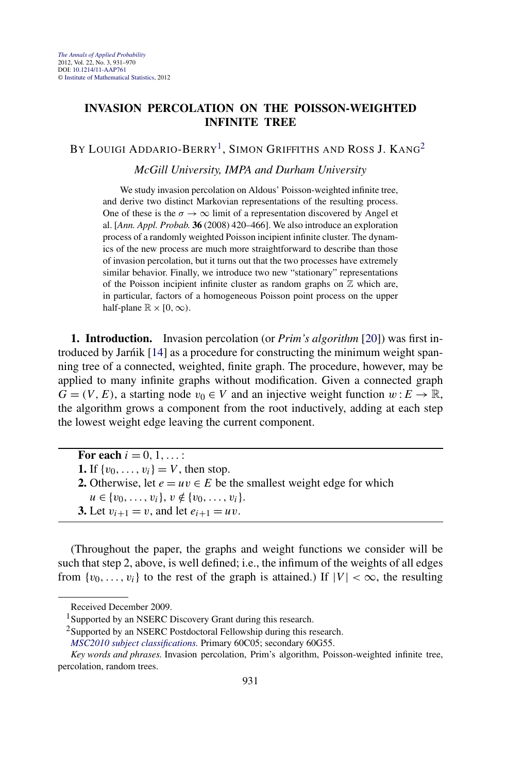## <span id="page-0-0"></span>**INVASION PERCOLATION ON THE POISSON-WEIGHTED INFINITE TREE**

BY LOUIGI ADDARIO-BERRY<sup>1</sup>, SIMON GRIFFITHS AND ROSS J. KANG<sup>2</sup>

*McGill University, IMPA and Durham University*

We study invasion percolation on Aldous' Poisson-weighted infinite tree, and derive two distinct Markovian representations of the resulting process. One of these is the  $\sigma \to \infty$  limit of a representation discovered by Angel et al. [*Ann. Appl. Probab.* **36** (2008) 420–466]. We also introduce an exploration process of a randomly weighted Poisson incipient infinite cluster. The dynamics of the new process are much more straightforward to describe than those of invasion percolation, but it turns out that the two processes have extremely similar behavior. Finally, we introduce two new "stationary" representations of the Poisson incipient infinite cluster as random graphs on  $Z$  which are, in particular, factors of a homogeneous Poisson point process on the upper half-plane  $\mathbb{R} \times [0, \infty)$ .

**1. Introduction.** Invasion percolation (or *Prim's algorithm* [\[20\]](#page-38-0)) was first in-troduced by Jarnik [[14\]](#page-38-0) as a procedure for constructing the minimum weight spanning tree of a connected, weighted, finite graph. The procedure, however, may be applied to many infinite graphs without modification. Given a connected graph  $G = (V, E)$ , a starting node  $v_0 \in V$  and an injective weight function  $w : E \to \mathbb{R}$ , the algorithm grows a component from the root inductively, adding at each step the lowest weight edge leaving the current component.

For each  $i = 0, 1, \ldots$ : **1.** If  $\{v_0, \ldots, v_i\} = V$ , then stop. **2.** Otherwise, let  $e = uv \in E$  be the smallest weight edge for which

 $u \in \{v_0, \ldots, v_i\}, v \notin \{v_0, \ldots, v_i\}.$ 

**3.** Let  $v_{i+1} = v$ , and let  $e_{i+1} = uv$ .

(Throughout the paper, the graphs and weight functions we consider will be such that step 2, above, is well defined; i.e., the infimum of the weights of all edges from  $\{v_0, \ldots, v_i\}$  to the rest of the graph is attained.) If  $|V| < \infty$ , the resulting

<sup>2</sup>Supported by an NSERC Postdoctoral Fellowship during this research.

Received December 2009.

<sup>&</sup>lt;sup>1</sup>Supported by an NSERC Discovery Grant during this research.

*[MSC2010 subject classifications.](http://www.ams.org/mathscinet/msc/msc2010.html)* Primary 60C05; secondary 60G55.

*Key words and phrases.* Invasion percolation, Prim's algorithm, Poisson-weighted infinite tree, percolation, random trees.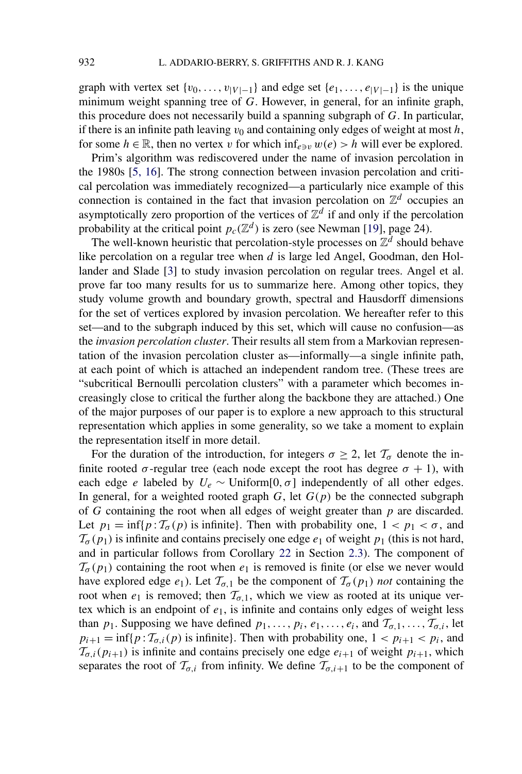graph with vertex set  $\{v_0, \ldots, v_{|V|-1}\}$  and edge set  $\{e_1, \ldots, e_{|V|-1}\}$  is the unique minimum weight spanning tree of *G*. However, in general, for an infinite graph, this procedure does not necessarily build a spanning subgraph of *G*. In particular, if there is an infinite path leaving  $v_0$  and containing only edges of weight at most  $h$ , for some  $h \in \mathbb{R}$ , then no vertex *v* for which  $\inf_{e \ni v} w(e) > h$  will ever be explored.

Prim's algorithm was rediscovered under the name of invasion percolation in the 1980s [\[5, 16\]](#page-38-0). The strong connection between invasion percolation and critical percolation was immediately recognized—a particularly nice example of this connection is contained in the fact that invasion percolation on  $\mathbb{Z}^d$  occupies an asymptotically zero proportion of the vertices of  $\mathbb{Z}^d$  if and only if the percolation probability at the critical point  $p_c(\mathbb{Z}^d)$  is zero (see Newman [\[19\]](#page-38-0), page 24).

The well-known heuristic that percolation-style processes on  $\mathbb{Z}^{\bar{d}}$  should behave like percolation on a regular tree when *d* is large led Angel, Goodman, den Hollander and Slade [\[3\]](#page-38-0) to study invasion percolation on regular trees. Angel et al. prove far too many results for us to summarize here. Among other topics, they study volume growth and boundary growth, spectral and Hausdorff dimensions for the set of vertices explored by invasion percolation. We hereafter refer to this set—and to the subgraph induced by this set, which will cause no confusion—as the *invasion percolation cluster*. Their results all stem from a Markovian representation of the invasion percolation cluster as—informally—a single infinite path, at each point of which is attached an independent random tree. (These trees are "subcritical Bernoulli percolation clusters" with a parameter which becomes increasingly close to critical the further along the backbone they are attached.) One of the major purposes of our paper is to explore a new approach to this structural representation which applies in some generality, so we take a moment to explain the representation itself in more detail.

For the duration of the introduction, for integers  $\sigma \geq 2$ , let  $\mathcal{T}_{\sigma}$  denote the infinite rooted  $\sigma$ -regular tree (each node except the root has degree  $\sigma + 1$ ), with each edge *e* labeled by  $U_e \sim \text{Uniform}[0, \sigma]$  independently of all other edges. In general, for a weighted rooted graph  $G$ , let  $G(p)$  be the connected subgraph of *G* containing the root when all edges of weight greater than *p* are discarded. Let  $p_1 = \inf\{p : T_{\sigma}(p)$  is infinite}. Then with probability one,  $1 < p_1 < \sigma$ , and  $\mathcal{T}_{\sigma}(p_1)$  is infinite and contains precisely one edge  $e_1$  of weight  $p_1$  (this is not hard, and in particular follows from Corollary [22](#page-16-0) in Section [2.3\)](#page-14-0). The component of  $\mathcal{T}_{\sigma}(p_1)$  containing the root when  $e_1$  is removed is finite (or else we never would have explored edge  $e_1$ ). Let  $\mathcal{T}_{\sigma,1}$  be the component of  $\mathcal{T}_{\sigma}(p_1)$  *not* containing the root when  $e_1$  is removed; then  $\mathcal{T}_{\sigma,1}$ , which we view as rooted at its unique vertex which is an endpoint of  $e_1$ , is infinite and contains only edges of weight less than  $p_1$ . Supposing we have defined  $p_1, \ldots, p_i, e_1, \ldots, e_i$ , and  $\mathcal{T}_{\sigma,1}, \ldots, \mathcal{T}_{\sigma,i}$ , let  $p_{i+1} = \inf\{p : T_{\sigma,i}(p)$  is infinite}. Then with probability one,  $1 < p_{i+1} < p_i$ , and  $\mathcal{T}_{\sigma,i}(p_{i+1})$  is infinite and contains precisely one edge  $e_{i+1}$  of weight  $p_{i+1}$ , which separates the root of  $\mathcal{T}_{\sigma,i}$  from infinity. We define  $\mathcal{T}_{\sigma,i+1}$  to be the component of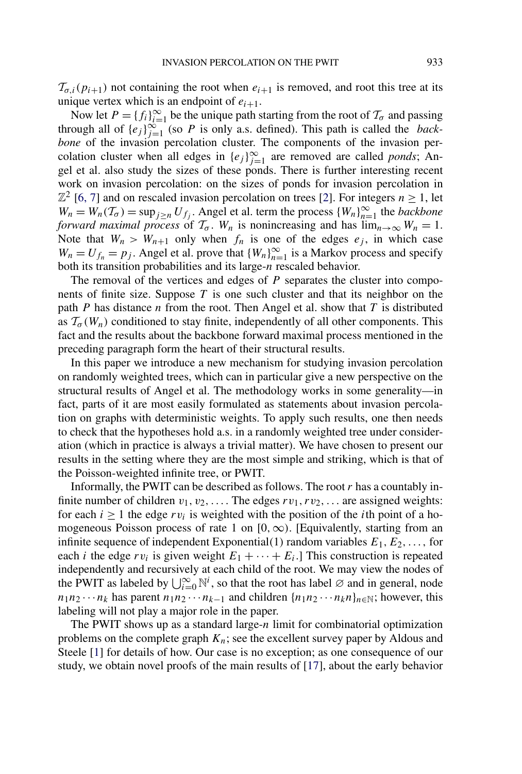$\mathcal{T}_{\sigma,i}(p_{i+1})$  not containing the root when  $e_{i+1}$  is removed, and root this tree at its unique vertex which is an endpoint of  $e_{i+1}$ .

Now let  $P = \{f_i\}_{i=1}^{\infty}$  be the unique path starting from the root of  $\mathcal{T}_{\sigma}$  and passing through all of  $\{e_j\}_{j=1}^{\infty}$  (so *P* is only a.s. defined). This path is called the *backbone* of the invasion percolation cluster. The components of the invasion percolation cluster when all edges in  ${e_j}_{j=1}^{\infty}$  are removed are called *ponds*; Angel et al. also study the sizes of these ponds. There is further interesting recent work on invasion percolation: on the sizes of ponds for invasion percolation in  $\mathbb{Z}^2$  [\[6, 7\]](#page-38-0) and on rescaled invasion percolation on trees [\[2\]](#page-37-0). For integers  $n \geq 1$ , let  $W_n = W_n(\mathcal{T}_{\sigma}) = \sup_{j \geq n} U_{f_j}$ . Angel et al. term the process  $\{W_n\}_{n=1}^{\infty}$  the *backbone forward maximal process* of  $\mathcal{T}_{\sigma}$ .  $W_n$  is nonincreasing and has  $\lim_{n\to\infty} W_n = 1$ . Note that  $W_n > W_{n+1}$  only when  $f_n$  is one of the edges  $e_j$ , in which case  $W_n = U_{f_n} = p_j$ . Angel et al. prove that  $\{W_n\}_{n=1}^{\infty}$  is a Markov process and specify both its transition probabilities and its large-*n* rescaled behavior.

The removal of the vertices and edges of *P* separates the cluster into components of finite size. Suppose *T* is one such cluster and that its neighbor on the path *P* has distance *n* from the root. Then Angel et al. show that *T* is distributed as  $\mathcal{T}_{\sigma}(W_n)$  conditioned to stay finite, independently of all other components. This fact and the results about the backbone forward maximal process mentioned in the preceding paragraph form the heart of their structural results.

In this paper we introduce a new mechanism for studying invasion percolation on randomly weighted trees, which can in particular give a new perspective on the structural results of Angel et al. The methodology works in some generality—in fact, parts of it are most easily formulated as statements about invasion percolation on graphs with deterministic weights. To apply such results, one then needs to check that the hypotheses hold a.s. in a randomly weighted tree under consideration (which in practice is always a trivial matter). We have chosen to present our results in the setting where they are the most simple and striking, which is that of the Poisson-weighted infinite tree, or PWIT.

Informally, the PWIT can be described as follows. The root *r* has a countably infinite number of children  $v_1, v_2, \ldots$ . The edges  $rv_1, rv_2, \ldots$  are assigned weights: for each  $i \ge 1$  the edge  $rv_i$  is weighted with the position of the *i*th point of a homogeneous Poisson process of rate 1 on [0*,*∞*)*. [Equivalently, starting from an infinite sequence of independent Exponential(1) random variables  $E_1, E_2, \ldots$ , for each *i* the edge  $rv_i$  is given weight  $E_1 + \cdots + E_i$ . This construction is repeated independently and recursively at each child of the root. We may view the nodes of the PWIT as labeled by  $\bigcup_{i=0}^{\infty} \mathbb{N}^i$ , so that the root has label  $\emptyset$  and in general, node  $n_1 n_2 \cdots n_k$  has parent  $n_1 n_2 \cdots n_{k-1}$  and children  $\{n_1 n_2 \cdots n_k n\}_{n \in \mathbb{N}}$ ; however, this labeling will not play a major role in the paper.

The PWIT shows up as a standard large-*n* limit for combinatorial optimization problems on the complete graph  $K_n$ ; see the excellent survey paper by Aldous and Steele [\[1\]](#page-37-0) for details of how. Our case is no exception; as one consequence of our study, we obtain novel proofs of the main results of [\[17\]](#page-38-0), about the early behavior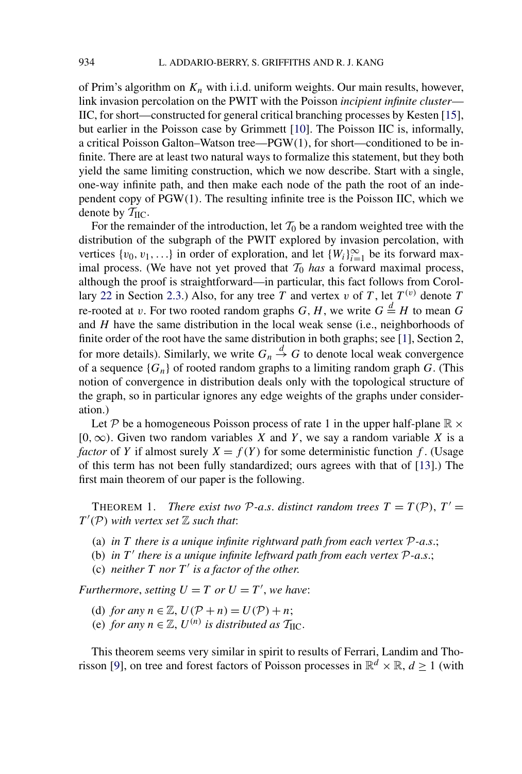<span id="page-3-0"></span>of Prim's algorithm on *Kn* with i.i.d. uniform weights. Our main results, however, link invasion percolation on the PWIT with the Poisson *incipient infinite cluster*— IIC, for short—constructed for general critical branching processes by Kesten [\[15\]](#page-38-0), but earlier in the Poisson case by Grimmett [\[10\]](#page-38-0). The Poisson IIC is, informally, a critical Poisson Galton–Watson tree—PGW*(*1*)*, for short—conditioned to be infinite. There are at least two natural ways to formalize this statement, but they both yield the same limiting construction, which we now describe. Start with a single, one-way infinite path, and then make each node of the path the root of an independent copy of PGW*(*1*)*. The resulting infinite tree is the Poisson IIC, which we denote by  $T_{\text{HC}}$ .

For the remainder of the introduction, let  $T_0$  be a random weighted tree with the distribution of the subgraph of the PWIT explored by invasion percolation, with vertices  $\{v_0, v_1, \ldots\}$  in order of exploration, and let  $\{W_i\}_{i=1}^{\infty}$  be its forward maximal process. (We have not yet proved that  $T_0$  *has* a forward maximal process, although the proof is straightforward—in particular, this fact follows from Corol-lary [22](#page-16-0) in Section [2.3.](#page-14-0)) Also, for any tree *T* and vertex *v* of *T*, let  $T^{(v)}$  denote *T* re-rooted at *v*. For two rooted random graphs *G*, *H*, we write  $G \stackrel{d}{=} H$  to mean *G* and *H* have the same distribution in the local weak sense (i.e., neighborhoods of finite order of the root have the same distribution in both graphs; see [\[1\]](#page-37-0), Section 2, for more details). Similarly, we write  $G_n \stackrel{d}{\rightarrow} G$  to denote local weak convergence of a sequence  ${G_n}$  of rooted random graphs to a limiting random graph  $G$ . (This notion of convergence in distribution deals only with the topological structure of the graph, so in particular ignores any edge weights of the graphs under consideration.)

Let P be a homogeneous Poisson process of rate 1 in the upper half-plane  $\mathbb{R} \times$ [0*,*∞*)*. Given two random variables *X* and *Y* , we say a random variable *X* is a *factor* of *Y* if almost surely  $X = f(Y)$  for some deterministic function *f*. (Usage of this term has not been fully standardized; ours agrees with that of [\[13\]](#page-38-0).) The first main theorem of our paper is the following.

**THEOREM 1.** *There exist two P-a.s. distinct random trees*  $T = T(\mathcal{P})$ ,  $T' =$  $T'(\mathcal{P})$  *with vertex set*  $\mathbb Z$  *such that:* 

- (a) *in T there is a unique infinite rightward path from each vertex* P*-a*.*s*.;
- (b) *in*  $T'$  *there is a unique infinite leftward path from each vertex*  $P$ -*a.s.*;
- (c) *neither*  $T$  *nor*  $T'$  *is a factor of the other.*

*Furthermore, setting*  $U = T$  *or*  $U = T'$ *, we have:* 

- (d) *for any*  $n \in \mathbb{Z}$ ,  $U(\mathcal{P} + n) = U(\mathcal{P}) + n$ ;
- (e) *for any*  $n \in \mathbb{Z}$ ,  $U^{(n)}$  *is distributed as*  $\mathcal{T}_{\text{HC}}$ *.*

This theorem seems very similar in spirit to results of Ferrari, Landim and Tho-risson [\[9\]](#page-38-0), on tree and forest factors of Poisson processes in  $\mathbb{R}^d \times \mathbb{R}$ ,  $d \ge 1$  (with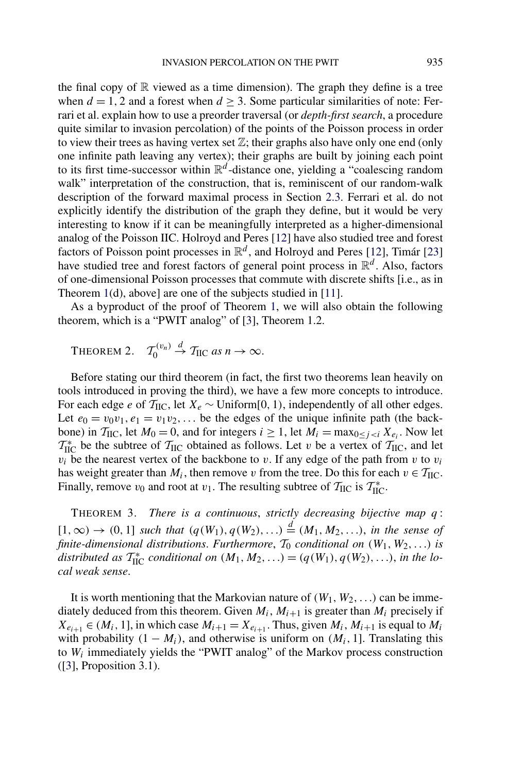<span id="page-4-0"></span>the final copy of  $\mathbb R$  viewed as a time dimension). The graph they define is a tree when  $d = 1, 2$  and a forest when  $d \geq 3$ . Some particular similarities of note: Ferrari et al. explain how to use a preorder traversal (or *depth-first search*, a procedure quite similar to invasion percolation) of the points of the Poisson process in order to view their trees as having vertex set  $\mathbb{Z}$ ; their graphs also have only one end (only one infinite path leaving any vertex); their graphs are built by joining each point to its first time-successor within  $\mathbb{R}^d$ -distance one, yielding a "coalescing random walk" interpretation of the construction, that is, reminiscent of our random-walk description of the forward maximal process in Section [2.3.](#page-14-0) Ferrari et al. do not explicitly identify the distribution of the graph they define, but it would be very interesting to know if it can be meaningfully interpreted as a higher-dimensional analog of the Poisson IIC. Holroyd and Peres [\[12\]](#page-38-0) have also studied tree and forest factors of Poisson point processes in  $\mathbb{R}^d$ , and Holroyd and Peres [\[12\]](#page-38-0), Timár [\[23\]](#page-38-0) have studied tree and forest factors of general point process in R*<sup>d</sup>* . Also, factors of one-dimensional Poisson processes that commute with discrete shifts [i.e., as in Theorem [1\(](#page-3-0)d), above] are one of the subjects studied in [\[11\]](#page-38-0).

As a byproduct of the proof of Theorem [1,](#page-3-0) we will also obtain the following theorem, which is a "PWIT analog" of [\[3\]](#page-38-0), Theorem 1.2.

THEOREM 2.  $\mathcal{T}_0^{(v_n)}$  $\stackrel{d}{\rightarrow}$   $\mathcal{T}_{\text{HC}}$  *as*  $n \rightarrow \infty$ .

Before stating our third theorem (in fact, the first two theorems lean heavily on tools introduced in proving the third), we have a few more concepts to introduce. For each edge *e* of  $T_{\text{HC}}$ , let  $X_e \sim \text{Uniform}[0, 1)$ , independently of all other edges. Let  $e_0 = v_0v_1, e_1 = v_1v_2, \ldots$  be the edges of the unique infinite path (the backbone) in  $\mathcal{T}_{\text{HC}}$ , let  $M_0 = 0$ , and for integers  $i \geq 1$ , let  $M_i = \max_{0 \leq j \leq i} X_{e_i}$ . Now let  $T_{\text{HC}}^{*}$  be the subtree of  $T_{\text{HC}}$  obtained as follows. Let *v* be a vertex of  $T_{\text{HC}}$ , and let  $v_i$  be the nearest vertex of the backbone to *v*. If any edge of the path from *v* to  $v_i$ has weight greater than  $M_i$ , then remove *v* from the tree. Do this for each  $v \in T_{\text{HC}}$ . Finally, remove  $v_0$  and root at  $v_1$ . The resulting subtree of  $\mathcal{T}_{\text{HC}}$  is  $\mathcal{T}_{\text{HC}}^*$ .

THEOREM 3. *There is a continuous*, *strictly decreasing bijective map q* :  $[1, ∞)$  →  $(0, 1]$  *such that*  $(q(W_1), q(W_2), ...) \stackrel{d}{=} (M_1, M_2, ...),$  *in the sense of finite-dimensional distributions. Furthermore,*  $T_0$  *conditional on*  $(W_1, W_2, ...)$  *is* distributed as  $T_{\text{HC}}^*$  conditional on  $(M_1, M_2, ...) = (q(W_1), q(W_2), ...)$ , *in the local weak sense*.

It is worth mentioning that the Markovian nature of  $(W_1, W_2, \ldots)$  can be immediately deduced from this theorem. Given  $M_i$ ,  $M_{i+1}$  is greater than  $M_i$  precisely if  $X_{e_{i+1}} \in (M_i, 1]$ , in which case  $M_{i+1} = X_{e_{i+1}}$ . Thus, given  $M_i$ ,  $M_{i+1}$  is equal to  $M_i$ with probability  $(1 - M_i)$ , and otherwise is uniform on  $(M_i, 1]$ . Translating this to *Wi* immediately yields the "PWIT analog" of the Markov process construction ([\[3\]](#page-38-0), Proposition 3.1).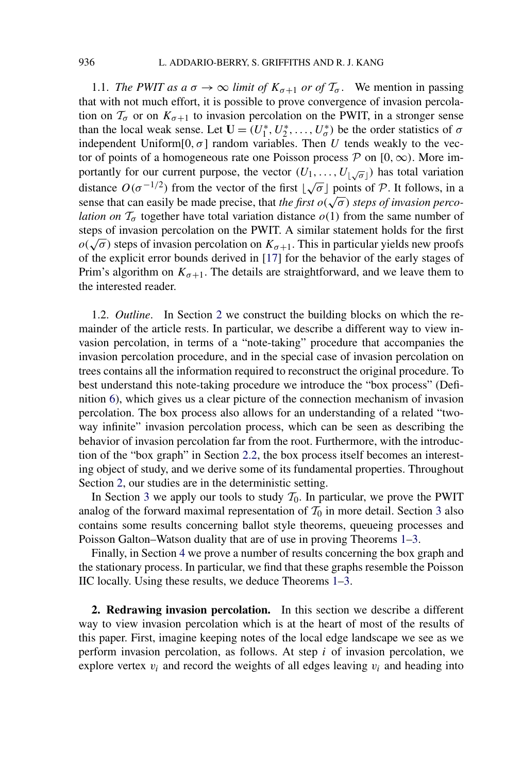<span id="page-5-0"></span>1.1. *The PWIT as a*  $\sigma \to \infty$  *limit of*  $K_{\sigma+1}$  *or of*  $\mathcal{T}_{\sigma}$ . We mention in passing that with not much effort, it is possible to prove convergence of invasion percolation on  $\mathcal{T}_{\sigma}$  or on  $K_{\sigma+1}$  to invasion percolation on the PWIT, in a stronger sense than the local weak sense. Let  $\mathbf{U} = (U_1^*, U_2^*, \dots, U_{\sigma}^*)$  be the order statistics of  $\sigma$ independent Uniform $[0, \sigma]$  random variables. Then *U* tends weakly to the vector of points of a homogeneous rate one Poisson process  $P$  on  $[0, \infty)$ . More importantly for our current purpose, the vector  $(U_1, \ldots, U_{\lfloor \sqrt{\sigma} \rfloor})$  has total variation distance  $O(\sigma^{-1/2})$  from the vector of the first  $\lfloor \sqrt{\sigma} \rfloor$  points of P. It follows, in a sense that can easily be made precise, that *the first*  $o(\sqrt{\sigma})$  *steps of invasion percolation on*  $\mathcal{T}_{\sigma}$  together have total variation distance  $o(1)$  from the same number of steps of invasion percolation on the PWIT. A similar statement holds for the first  $o(\sqrt{\sigma})$  steps of invasion percolation on  $K_{\sigma+1}$ . This in particular yields new proofs of the explicit error bounds derived in [\[17\]](#page-38-0) for the behavior of the early stages of Prim's algorithm on  $K_{\sigma+1}$ . The details are straightforward, and we leave them to the interested reader.

1.2. *Outline*. In Section 2 we construct the building blocks on which the remainder of the article rests. In particular, we describe a different way to view invasion percolation, in terms of a "note-taking" procedure that accompanies the invasion percolation procedure, and in the special case of invasion percolation on trees contains all the information required to reconstruct the original procedure. To best understand this note-taking procedure we introduce the "box process" (Definition [6\)](#page-8-0), which gives us a clear picture of the connection mechanism of invasion percolation. The box process also allows for an understanding of a related "twoway infinite" invasion percolation process, which can be seen as describing the behavior of invasion percolation far from the root. Furthermore, with the introduction of the "box graph" in Section [2.2,](#page-13-0) the box process itself becomes an interesting object of study, and we derive some of its fundamental properties. Throughout Section 2, our studies are in the deterministic setting.

In Section [3](#page-16-0) we apply our tools to study  $\mathcal{T}_0$ . In particular, we prove the PWIT analog of the forward maximal representation of  $\mathcal{T}_0$  in more detail. Section [3](#page-16-0) also contains some results concerning ballot style theorems, queueing processes and Poisson Galton–Watson duality that are of use in proving Theorems [1–](#page-3-0)[3.](#page-4-0)

Finally, in Section [4](#page-25-0) we prove a number of results concerning the box graph and the stationary process. In particular, we find that these graphs resemble the Poisson IIC locally. Using these results, we deduce Theorems [1](#page-3-0)[–3.](#page-4-0)

**2. Redrawing invasion percolation.** In this section we describe a different way to view invasion percolation which is at the heart of most of the results of this paper. First, imagine keeping notes of the local edge landscape we see as we perform invasion percolation, as follows. At step *i* of invasion percolation, we explore vertex  $v_i$  and record the weights of all edges leaving  $v_i$  and heading into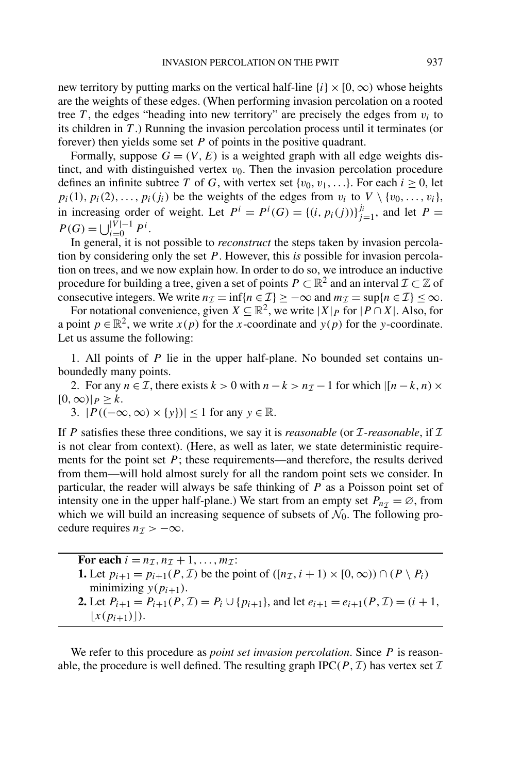<span id="page-6-0"></span>new territory by putting marks on the vertical half-line  $\{i\} \times [0, \infty)$  whose heights are the weights of these edges. (When performing invasion percolation on a rooted tree  $T$ , the edges "heading into new territory" are precisely the edges from  $v_i$  to its children in *T* .) Running the invasion percolation process until it terminates (or forever) then yields some set *P* of points in the positive quadrant.

Formally, suppose  $G = (V, E)$  is a weighted graph with all edge weights distinct, and with distinguished vertex  $v_0$ . Then the invasion percolation procedure defines an infinite subtree *T* of *G*, with vertex set  $\{v_0, v_1, \ldots\}$ . For each  $i \geq 0$ , let  $p_i(1), p_i(2), \ldots, p_i(j_i)$  be the weights of the edges from  $v_i$  to  $V \setminus \{v_0, \ldots, v_i\}$ , in increasing order of weight. Let  $P^i = P^i(G) = \{(i, p_i(j))\}_{j=1}^{j_i}$ , and let  $P =$  $P(G) = \bigcup_{i=0}^{|V|-1} P^i$ .

In general, it is not possible to *reconstruct* the steps taken by invasion percolation by considering only the set *P* . However, this *is* possible for invasion percolation on trees, and we now explain how. In order to do so, we introduce an inductive procedure for building a tree, given a set of points  $P \subset \mathbb{R}^2$  and an interval  $\mathcal{I} \subset \mathbb{Z}$  of consecutive integers. We write  $n_{\mathcal{I}} = \inf\{n \in \mathcal{I}\}\geq -\infty$  and  $m_{\mathcal{I}} = \sup\{n \in \mathcal{I}\}\leq \infty$ .

For notational convenience, given  $X \subseteq \mathbb{R}^2$ , we write  $|X|_P$  for  $|P \cap X|$ . Also, for a point  $p \in \mathbb{R}^2$ , we write  $x(p)$  for the *x*-coordinate and  $y(p)$  for the *y*-coordinate. Let us assume the following:

1. All points of *P* lie in the upper half-plane. No bounded set contains unboundedly many points.

2. For any  $n \in \mathcal{I}$ , there exists  $k > 0$  with  $n - k > n_{\mathcal{I}} - 1$  for which  $\vert (n - k, n) \times$  $[0, \infty)$ | $P \geq k$ .

3.  $|P((-\infty,\infty) \times \{y\})| \leq 1$  for any  $y \in \mathbb{R}$ .

If *P* satisfies these three conditions, we say it is *reasonable* (or  $I$ -reasonable, if  $I$ is not clear from context). (Here, as well as later, we state deterministic requirements for the point set  $P$ ; these requirements—and therefore, the results derived from them—will hold almost surely for all the random point sets we consider. In particular, the reader will always be safe thinking of *P* as a Poisson point set of intensity one in the upper half-plane.) We start from an empty set  $P_{n\tau} = \emptyset$ , from which we will build an increasing sequence of subsets of  $\mathcal{N}_0$ . The following procedure requires  $n<sub>\mathcal{I}</sub> > -\infty$ .

For each  $i = n_{\mathcal{I}}, n_{\mathcal{I}} + 1, \ldots, m_{\mathcal{I}}$ : **1.** Let *p*<sub>*i*+1</sub> = *p*<sub>*i*+1</sub>(*P, I*) be the point of  $([n<sub>I</sub>, i + 1) \times [0, \infty)) \cap (P \setminus P_i)$ minimizing  $y(p_{i+1})$ . **2.** Let  $P_{i+1} = P_{i+1}(P, \mathcal{I}) = P_i \cup \{p_{i+1}\}\text{, and let } e_{i+1} = e_{i+1}(P, \mathcal{I}) = (i+1, \mathcal{I})$ 

 $[x(p_{i+1})]$ .

We refer to this procedure as *point set invasion percolation*. Since *P* is reasonable, the procedure is well defined. The resulting graph  $IPC(P, \mathcal{I})$  has vertex set  $\mathcal{I}$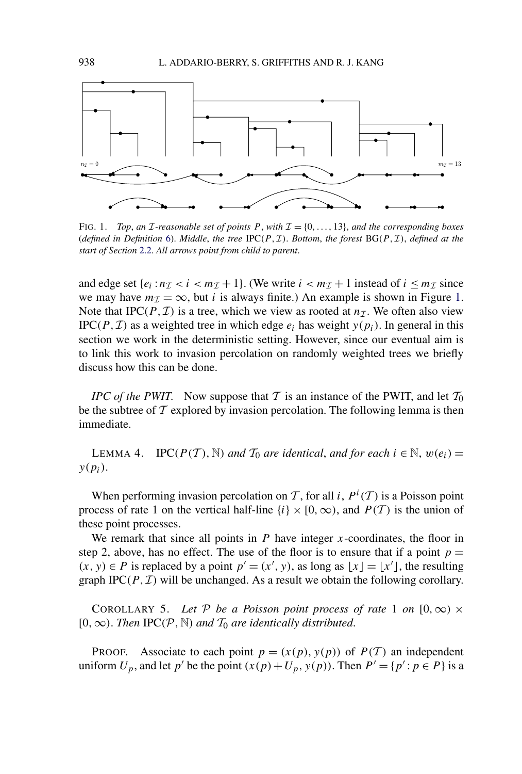<span id="page-7-0"></span>

FIG. 1. *Top, an I*-reasonable set of points  $P$ , with  $\mathcal{I} = \{0, \ldots, 13\}$ , and the corresponding boxes (*defined in Definition* [6\)](#page-8-0). *Middle*, *the tree* IPC $(P, \mathcal{I})$ . *Bottom*, *the forest*  $BG(P, \mathcal{I})$ , *defined at the start of Section* [2.2.](#page-13-0) *All arrows point from child to parent*.

and edge set  $\{e_i : n_{\mathcal{I}} < i < m_{\mathcal{I}} + 1\}$ . (We write  $i < m_{\mathcal{I}} + 1$  instead of  $i \leq m_{\mathcal{I}}$  since we may have  $m<sub>\mathcal{I}</sub> = \infty$ , but *i* is always finite.) An example is shown in Figure 1. Note that IPC( $P, I$ ) is a tree, which we view as rooted at  $n<sub>T</sub>$ . We often also view IPC( $P, I$ ) as a weighted tree in which edge  $e_i$  has weight  $y(p_i)$ . In general in this section we work in the deterministic setting. However, since our eventual aim is to link this work to invasion percolation on randomly weighted trees we briefly discuss how this can be done.

*IPC of the PWIT*. Now suppose that T is an instance of the PWIT, and let  $T_0$ be the subtree of  $\mathcal T$  explored by invasion percolation. The following lemma is then immediate.

LEMMA 4. IPC( $P(T)$ , N) *and*  $T_0$  *are identical, and for each*  $i \in \mathbb{N}$ ,  $w(e_i)$  = *y(pi)*.

When performing invasion percolation on T, for all *i*,  $P^i(T)$  is a Poisson point process of rate 1 on the vertical half-line  $\{i\} \times [0, \infty)$ , and  $P(T)$  is the union of these point processes.

We remark that since all points in *P* have integer *x*-coordinates, the floor in step 2, above, has no effect. The use of the floor is to ensure that if a point  $p =$  $(x, y)$  ∈ *P* is replaced by a point  $p' = (x', y)$ , as long as  $\lfloor x \rfloor = \lfloor x' \rfloor$ , the resulting graph IPC $(P, \mathcal{I})$  will be unchanged. As a result we obtain the following corollary.

COROLLARY 5. Let P be a Poisson point process of rate 1 on  $[0, \infty) \times$ [0*,*∞*)*. *Then* IPC*(*P*,*N*) and* <sup>T</sup><sup>0</sup> *are identically distributed*.

**PROOF.** Associate to each point  $p = (x(p), y(p))$  of  $P(T)$  an independent uniform  $U_p$ , and let  $p'$  be the point  $(x(p) + U_p, y(p))$ . Then  $P' = \{p' : p \in P\}$  is a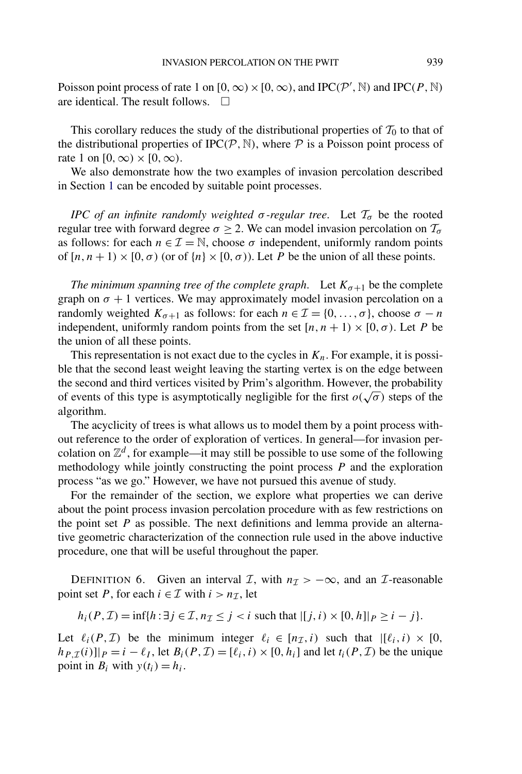<span id="page-8-0"></span>Poisson point process of rate 1 on  $[0, \infty) \times [0, \infty)$ , and IPC $(P', \mathbb{N})$  and IPC $(P, \mathbb{N})$ are identical. The result follows.  $\Box$ 

This corollary reduces the study of the distributional properties of  $T_0$  to that of the distributional properties of IPC $(P, \mathbb{N})$ , where  $P$  is a Poisson point process of rate 1 on  $[0, \infty) \times [0, \infty)$ .

We also demonstrate how the two examples of invasion percolation described in Section [1](#page-0-0) can be encoded by suitable point processes.

*IPC of an infinite randomly weighted*  $\sigma$ -regular tree. Let  $\mathcal{T}_{\sigma}$  be the rooted regular tree with forward degree  $\sigma \geq 2$ . We can model invasion percolation on  $\mathcal{T}_{\sigma}$ as follows: for each  $n \in \mathcal{I} = \mathbb{N}$ , choose  $\sigma$  independent, uniformly random points of  $[n, n + 1) \times [0, \sigma)$  (or of  $\{n\} \times [0, \sigma)$ ). Let *P* be the union of all these points.

*The minimum spanning tree of the complete graph.* Let  $K_{\sigma+1}$  be the complete graph on  $\sigma + 1$  vertices. We may approximately model invasion percolation on a randomly weighted  $K_{\sigma+1}$  as follows: for each  $n \in \mathcal{I} = \{0, \ldots, \sigma\}$ , choose  $\sigma - n$ independent, uniformly random points from the set  $[n, n + 1) \times [0, \sigma)$ . Let *P* be the union of all these points.

This representation is not exact due to the cycles in  $K_n$ . For example, it is possible that the second least weight leaving the starting vertex is on the edge between the second and third vertices visited by Prim's algorithm. However, the probability of events of this type is asymptotically negligible for the first  $o(\sqrt{\sigma})$  steps of the algorithm.

The acyclicity of trees is what allows us to model them by a point process without reference to the order of exploration of vertices. In general—for invasion percolation on  $\mathbb{Z}^d$ , for example—it may still be possible to use some of the following methodology while jointly constructing the point process *P* and the exploration process "as we go." However, we have not pursued this avenue of study.

For the remainder of the section, we explore what properties we can derive about the point process invasion percolation procedure with as few restrictions on the point set *P* as possible. The next definitions and lemma provide an alternative geometric characterization of the connection rule used in the above inductive procedure, one that will be useful throughout the paper.

DEFINITION 6. Given an interval *I*, with  $n<sub>I</sub> > -\infty$ , and an *I*-reasonable point set *P*, for each  $i \in \mathcal{I}$  with  $i > n_{\mathcal{I}}$ , let

 $h_i(P, \mathcal{I}) = \inf\{h : \exists j \in \mathcal{I}, n_{\mathcal{I}} \leq j < i \text{ such that } |[j, i) \times [0, h]| p \geq i - j\}.$ 

Let  $\ell_i(P, \mathcal{I})$  be the minimum integer  $\ell_i \in [n_{\mathcal{I}}, i)$  such that  $|[\ell_i, i) \times [0, \mathcal{I}]$  $h_{P,\mathcal{I}}(i)|_{P} = i - \ell_{I}$ , let  $B_{i}(P,\mathcal{I}) = [\ell_{i},i) \times [0,h_{i}]$  and let  $t_{i}(P,\mathcal{I})$  be the unique point in  $B_i$  with  $y(t_i) = h_i$ .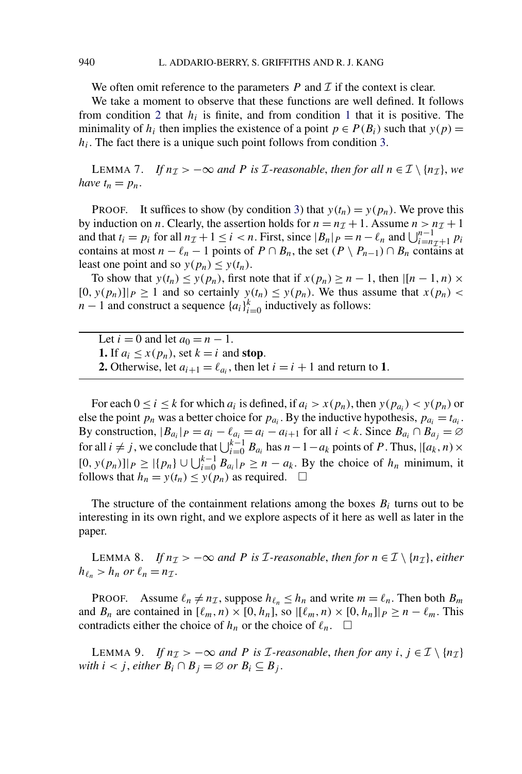We often omit reference to the parameters  $P$  and  $T$  if the context is clear.

We take a moment to observe that these functions are well defined. It follows from condition [2](#page-6-0) that  $h_i$  is finite, and from condition [1](#page-6-0) that it is positive. The minimality of  $h_i$  then implies the existence of a point  $p \in P(B_i)$  such that  $y(p) =$ *hi*. The fact there is a unique such point follows from condition [3.](#page-6-0)

LEMMA 7. *If*  $n_{\mathcal{I}}$  > −∞ *and P is I*-reasonable, *then for all*  $n \in \mathcal{I} \setminus \{n_{\mathcal{I}}\}$ , we *have*  $t_n = p_n$ .

**PROOF.** It suffices to show (by condition [3\)](#page-6-0) that  $y(t_n) = y(p_n)$ . We prove this by induction on *n*. Clearly, the assertion holds for  $n = n<sub>\mathcal{I}</sub> + 1$ . Assume  $n > n<sub>\mathcal{I}</sub> + 1$ and that  $t_i = p_i$  for all  $n_T + 1 \le i < n$ . First, since  $|B_n|_P = n - \ell_n$  and  $\bigcup_{i=n+1}^{n-1} p_i$ <br>contains at most  $n - \ell$ , and  $n - 1$  points of  $P \cap R$ , the set  $(P \setminus R) \cap P$ , or  $R$  contains of contains at most  $n - \ell_n - 1$  points of  $P \cap B_n$ , the set  $(P \setminus P_{n-1}) \cap B_n$  contains at least one point and so  $y(p_n) \leq y(t_n)$ .

To show that  $y(t_n) \leq y(p_n)$ , first note that if  $x(p_n) \geq n-1$ , then  $\vert [n-1,n) \times$  $[0, y(p_n)]|_P \ge 1$  and so certainly  $y(t_n) \le y(p_n)$ . We thus assume that  $x(p_n)$ *n* − 1 and construct a sequence  $\{a_i\}_{i=0}^k$  inductively as follows:

Let  $i = 0$  and let  $a_0 = n - 1$ . **1.** If  $a_i \leq x(p_n)$ , set  $k = i$  and **stop**. **2.** Otherwise, let  $a_{i+1} = \ell_{a_i}$ , then let  $i = i + 1$  and return to **1**.

For each  $0 \le i \le k$  for which  $a_i$  is defined, if  $a_i > x(p_n)$ , then  $y(p_{a_i}) < y(p_n)$  or else the point  $p_n$  was a better choice for  $p_{a_i}$ . By the inductive hypothesis,  $p_{a_i} = t_{a_i}$ . By construction,  $|B_{a_i}|_P = a_i - \ell_{a_i} = a_i - a_{i+1}$  for all  $i < k$ . Since  $B_{a_i} \cap B_{a_j} = \emptyset$ for all  $i \neq j$ , we conclude that  $\bigcup_{i=0}^{k-1} B_{a_i}$  has  $n-1-a_k$  points of *P*. Thus,  $\left| [a_k, n) \times \right|$  $[0, y(p_n)]|_P \ge |{p_n}$  ∪ ∪ $_{i=0}^{k-1}$  *B<sub>ai</sub>* |*P* ≥ *n* − *a<sub>k</sub>*. By the choice of *h<sub>n</sub>* minimum, it follows that  $h_n = y(t_n) \le y(p_n)$  as required.  $\Box$ 

The structure of the containment relations among the boxes  $B_i$  turns out to be interesting in its own right, and we explore aspects of it here as well as later in the paper.

LEMMA 8. *If*  $n_{\mathcal{I}}$  > −∞ *and P is I*-reasonable, then for  $n \in \mathcal{I} \setminus \{n_{\mathcal{I}}\}$ , either  $h_{\ell_n} > h_n$  or  $\ell_n = n_{\mathcal{I}}$ .

PROOF. Assume  $\ell_n \neq n_{\mathcal{I}}$ , suppose  $h_{\ell_n} \leq h_n$  and write  $m = \ell_n$ . Then both  $B_m$ and  $B_n$  are contained in  $[\ell_m, n) \times [0, h_n]$ , so  $|[\ell_m, n) \times [0, h_n]|_P \geq n - \ell_m$ . This contradicts either the choice of  $h_n$  or the choice of  $\ell_n$ .  $\Box$ 

LEMMA 9. *If*  $n_{\mathcal{I}} > -\infty$  *and P is I*-reasonable, then for any *i*,  $j \in \mathcal{I} \setminus \{n_{\mathcal{I}}\}$ *with*  $i < j$ , *either*  $B_i \cap B_j = \emptyset$  *or*  $B_i \subseteq B_j$ .

<span id="page-9-0"></span>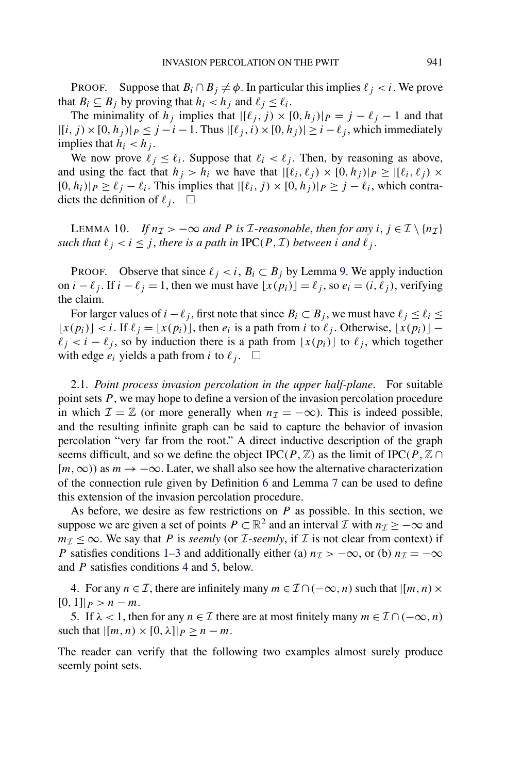<span id="page-10-0"></span>**PROOF.** Suppose that  $B_i \cap B_j \neq \emptyset$ . In particular this implies  $\ell_i < i$ . We prove that  $B_i \subseteq B_j$  by proving that  $h_i < h_j$  and  $\ell_j \leq \ell_i$ .

The minimality of  $h_j$  implies that  $|[\ell_j, j) \times [0, h_j]|_P = j - \ell_j - 1$  and that  $|[(i, j) \times [0, h_j)|_P \leq j - i - 1$ . Thus  $|[(i, j) \times [0, h_j)| \geq i - \ell_j$ , which immediately implies that  $h_i < h_j$ .

We now prove  $\ell_j \leq \ell_i$ . Suppose that  $\ell_i < \ell_j$ . Then, by reasoning as above, and using the fact that  $h_j > h_i$  we have that  $|[\ell_i, \ell_j) \times [0, h_j]|_P \geq |[\ell_i, \ell_j) \times [0, h_j]|_P$  $[0,h_i)|_P \ge \ell_i - \ell_i$ . This implies that  $|[\ell_i,j) \times [0,h_j]|_P \ge j - \ell_i$ , which contradicts the definition of  $\ell_j$ .  $\Box$ 

LEMMA 10. *If*  $n_{\mathcal{I}} > -\infty$  and *P* is *I*-reasonable, then for any  $i, j \in \mathcal{I} \setminus \{n_{\mathcal{I}}\}$ *such that*  $\ell_i < i \leq j$ , *there is a path in*  $\text{IPC}(P, \mathcal{I})$  *between i and*  $\ell_i$ .

PROOF. Observe that since  $\ell_j < i$ ,  $B_i \subset B_j$  by Lemma [9.](#page-9-0) We apply induction on *i* −  $\ell_j$ . If *i* −  $\ell_j$  = 1, then we must have  $\lfloor x(p_i) \rfloor = \ell_j$ , so  $e_i = (i, \ell_j)$ , verifying the claim.

For larger values of *i* −  $\ell$  *j*, first note that since  $B_i \subset B_j$ , we must have  $\ell_j \leq \ell_i \leq$  $\lfloor x(p_i) \rfloor < i$ . If  $\ell_i = \lfloor x(p_i) \rfloor$ , then  $e_i$  is a path from *i* to  $\ell_i$ . Otherwise,  $\lfloor x(p_i) \rfloor$  –  $\ell_j < i - \ell_j$ , so by induction there is a path from  $\lfloor x(p_i) \rfloor$  to  $\ell_j$ , which together with edge  $e_i$  yields a path from *i* to  $\ell_j$ .  $\Box$ 

2.1. *Point process invasion percolation in the upper half-plane*. For suitable point sets *P* , we may hope to define a version of the invasion percolation procedure in which  $\mathcal{I} = \mathbb{Z}$  (or more generally when  $n_{\mathcal{I}} = -\infty$ ). This is indeed possible, and the resulting infinite graph can be said to capture the behavior of invasion percolation "very far from the root." A direct inductive description of the graph seems difficult, and so we define the object  $\text{IPC}(P, \mathbb{Z})$  as the limit of  $\text{IPC}(P, \mathbb{Z} \cap \mathbb{Z})$  $[m, \infty)$ ) as  $m \to -\infty$ . Later, we shall also see how the alternative characterization of the connection rule given by Definition [6](#page-8-0) and Lemma [7](#page-9-0) can be used to define this extension of the invasion percolation procedure.

As before, we desire as few restrictions on *P* as possible. In this section, we suppose we are given a set of points  $P \subset \mathbb{R}^2$  and an interval  $\mathcal I$  with  $n_{\mathcal I} \geq -\infty$  and  $m_{\mathcal{I}} \leq \infty$ . We say that *P* is *seemly* (or *I*-seemly, if *I* is not clear from context) if *P* satisfies conditions [1–3](#page-6-0) and additionally either (a)  $n<sub>T</sub> > -\infty$ , or (b)  $n<sub>T</sub> = -\infty$ and *P* satisfies conditions 4 and 5, below.

4. For any  $n \in \mathcal{I}$ , there are infinitely many  $m \in \mathcal{I} \cap (-\infty, n)$  such that  $\vert [m, n) \times$  $[0, 1]$ | $p > n - m$ .

5. If  $\lambda$  < 1, then for any  $n \in \mathcal{I}$  there are at most finitely many  $m \in \mathcal{I} \cap (-\infty, n)$ such that  $|[m,n)\times[0,\lambda]|_P > n-m$ .

The reader can verify that the following two examples almost surely produce seemly point sets.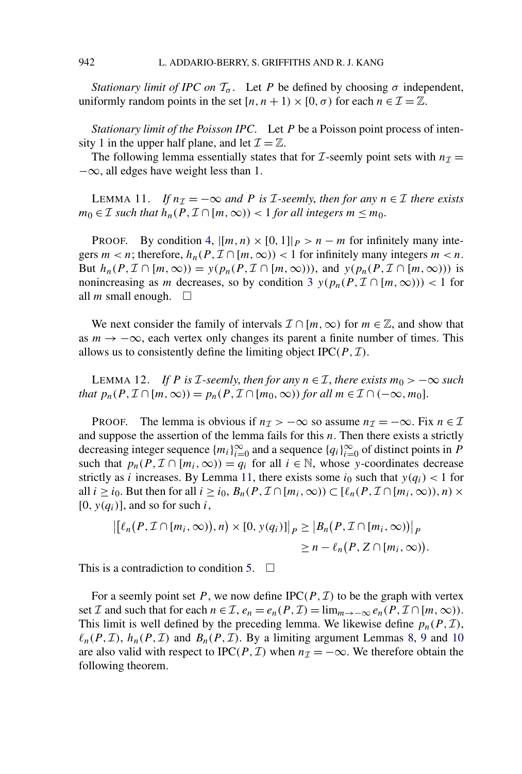*Stationary limit of IPC on*  $\mathcal{T}_{\sigma}$ . Let *P* be defined by choosing  $\sigma$  independent, uniformly random points in the set  $[n, n + 1) \times [0, \sigma)$  for each  $n \in \mathcal{I} = \mathbb{Z}$ .

*Stationary limit of the Poisson IPC*. Let *P* be a Poisson point process of intensity 1 in the upper half plane, and let  $\mathcal{I} = \mathbb{Z}$ .

The following lemma essentially states that for  $\mathcal{I}$ -seemly point sets with  $n_{\mathcal{I}} =$  $-\infty$ , all edges have weight less than 1.

LEMMA 11. *If*  $n<sub>I</sub> = −∞$  *and P is I*-seemly, *then for any*  $n ∈ I$  *there exists m*<sub>0</sub> ∈ *I such that*  $h_n(P, I ∩ [m, ∞)) < 1$  *for all integers*  $m ≤ m_0$ .

PROOF. By condition [4,](#page-10-0)  $\left[\left[m, n\right) \times \left[0, 1\right]\right]_{P} > n - m$  for infinitely many integers  $m < n$ ; therefore,  $h_n(P, \mathcal{I} \cap [m, \infty)) < 1$  for infinitely many integers  $m < n$ . But  $h_n(P, \mathcal{I} \cap [m, \infty)) = y(p_n(P, \mathcal{I} \cap [m, \infty)))$ , and  $y(p_n(P, \mathcal{I} \cap [m, \infty)))$  is nonincreasing as *m* decreases, so by condition [3](#page-6-0)  $y(p_n(P, \mathcal{I} \cap [m, \infty))) < 1$  for all *m* small enough.  $\Box$ 

We next consider the family of intervals  $\mathcal{I} \cap [m,\infty)$  for  $m \in \mathbb{Z}$ , and show that as  $m \to -\infty$ , each vertex only changes its parent a finite number of times. This allows us to consistently define the limiting object  $IPC(P, \mathcal{I})$ .

LEMMA 12. *If P* is *I*-seemly, then for any  $n \in I$ , there exists  $m_0 > -\infty$  such *that*  $p_n(P, \mathcal{I} \cap [m, \infty)) = p_n(P, \mathcal{I} \cap [m_0, \infty))$  *for all*  $m \in \mathcal{I} \cap (-\infty, m_0]$ .

PROOF. The lemma is obvious if  $n<sub>\mathcal{I}</sub> > -\infty$  so assume  $n<sub>\mathcal{I}</sub> = -\infty$ . Fix  $n \in \mathcal{I}$ and suppose the assertion of the lemma fails for this *n*. Then there exists a strictly decreasing integer sequence  ${m_i}_{i=0}^{\infty}$  and a sequence  ${q_i}_{i=0}^{\infty}$  of distinct points in *P* such that  $p_n(P, \mathcal{I} \cap [m_i, \infty)) = q_i$  for all  $i \in \mathbb{N}$ , whose *y*-coordinates decrease strictly as *i* increases. By Lemma 11, there exists some  $i_0$  such that  $y(q_i) < 1$  for all  $i \ge i_0$ . But then for all  $i \ge i_0$ ,  $B_n(P, \mathcal{I} \cap [m_i, \infty)) \subset [\ell_n(P, \mathcal{I} \cap [m_i, \infty)), n) \times$  $[0, y(q_i)]$ , and so for such *i*,

$$
\left\| \left[ \ell_n(P, \mathcal{I} \cap [m_i, \infty)), n \right] \times [0, y(q_i)] \right\|_P \geq \left| B_n(P, \mathcal{I} \cap [m_i, \infty)) \right|_P \geq n - \ell_n(P, Z \cap [m_i, \infty)).
$$

This is a contradiction to condition [5.](#page-10-0)  $\Box$ 

For a seemly point set P, we now define  $IPC(P, \mathcal{I})$  to be the graph with vertex set *I* and such that for each  $n \in I$ ,  $e_n = e_n(P, I) = \lim_{m \to -\infty} e_n(P, I \cap [m, \infty))$ . This limit is well defined by the preceding lemma. We likewise define  $p_n(P, \mathcal{I})$ ,  $\ell_n(P, \mathcal{I})$ ,  $h_n(P, \mathcal{I})$  and  $B_n(P, \mathcal{I})$ . By a limiting argument Lemmas [8,](#page-9-0) [9](#page-9-0) and [10](#page-10-0) are also valid with respect to IPC( $P$ ,  $\mathcal{I}$ ) when  $n_{\mathcal{I}} = -\infty$ . We therefore obtain the following theorem.

<span id="page-11-0"></span>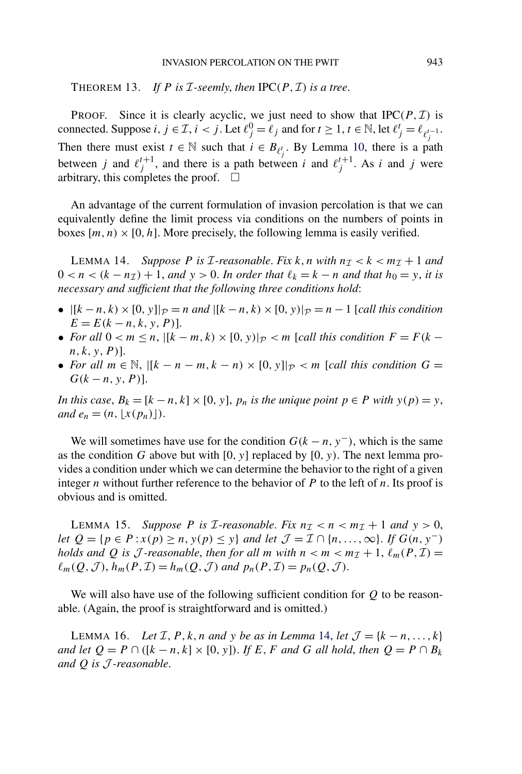## INVASION PERCOLATION ON THE PWIT 943

<span id="page-12-0"></span>THEOREM 13. If *P* is *I*-seemly, then  $IPC(P, \mathcal{I})$  is a tree.

**PROOF.** Since it is clearly acyclic, we just need to show that  $\text{IPC}(P, \mathcal{I})$  is connected. Suppose *i*,  $j \in \mathcal{I}$ ,  $i < j$ . Let  $\ell_j^0 = \ell_j$  and for  $t \ge 1$ ,  $t \in \mathbb{N}$ , let  $\ell_j^t = \ell_{\ell_j^{t-1}}$ . Then there must exist  $t \in \mathbb{N}$  such that  $i \in B_{\ell_j^t}$ . By Lemma [10,](#page-10-0) there is a path between *j* and  $\ell_j^{t+1}$ , and there is a path between *i* and  $\ell_j^{t+1}$ . As *i* and *j* were arbitrary, this completes the proof.  $\Box$ 

An advantage of the current formulation of invasion percolation is that we can equivalently define the limit process via conditions on the numbers of points in boxes  $[m, n) \times [0, h]$ . More precisely, the following lemma is easily verified.

**LEMMA 14.** Suppose P is *I*-reasonable. Fix k, n with  $n<sub>\mathcal{I}</sub> < k < m<sub>\mathcal{I}</sub> + 1$  and  $0 < n < (k - n<sub>\mathcal{I</sub>) + 1$ , and  $y > 0$ . In order that  $\ell_k = k - n$  and that  $h_0 = y$ , it is *necessary and sufficient that the following three conditions hold*:

- $|[k n, k) \times [0, y]|_{\mathcal{P}} = n$  and  $|[k n, k) \times [0, y]|_{\mathcal{P}} = n 1$  [*call this condition*  $E = E(k - n, k, y, P)$ ].
- *For all*  $0 < m \le n$ ,  $\vert [k m, k) \times [0, y] \vert_{\mathcal{P}} < m$  [*call this condition*  $F = F(k \vert k \vert)$ *n,k,y,P)*].
- *For all*  $m \in \mathbb{N}$ ,  $\vert [k n m, k n] \times [0, y] \vert_{\mathcal{P}} < m$  [*call this condition*  $G =$  $G(k - n, y, P)$ ].

*In this case,*  $B_k = [k - n, k] \times [0, y]$ ,  $p_n$  *is the unique point*  $p \in P$  *with*  $y(p) = y$ , *and*  $e_n = (n, |x(p_n)|)$ .

We will sometimes have use for the condition  $G(k - n, y<sup>-</sup>)$ , which is the same as the condition *G* above but with [0, y] replaced by [0, y). The next lemma provides a condition under which we can determine the behavior to the right of a given integer *n* without further reference to the behavior of *P* to the left of *n*. Its proof is obvious and is omitted.

LEMMA 15. *Suppose P* is *I*-reasonable. Fix  $n<sub>\mathcal{I}</sub> < n < m<sub>\mathcal{I}</sub> + 1$  and  $y > 0$ , *let*  $Q = {p \in P : x(p) \ge n, y(p) \le y}$  *and let*  $\mathcal{J} = \mathcal{I} \cap {n, ..., \infty}$ . *If*  $G(n, y^-)$ *holds and* Q *is* J-reasonable, then for all *m* with  $n < m < m<sub>T</sub> + 1$ ,  $\ell_m(P, \mathcal{I}) =$  $\ell_m(Q, \mathcal{J})$ ,  $h_m(P, \mathcal{I}) = h_m(Q, \mathcal{J})$  *and*  $p_n(P, \mathcal{I}) = p_n(Q, \mathcal{J})$ .

We will also have use of the following sufficient condition for *Q* to be reasonable. (Again, the proof is straightforward and is omitted.)

LEMMA 16. *Let*  $\mathcal{I}, P, k, n$  *and*  $y$  *be as in Lemma* 14, *let*  $\mathcal{J} = \{k - n, \ldots, k\}$ *and let*  $Q = P \cap ([k - n, k] \times [0, y])$ . *If E*, *F and G all hold*, *then*  $Q = P \cap B_k$ *and Q is* J *-reasonable*.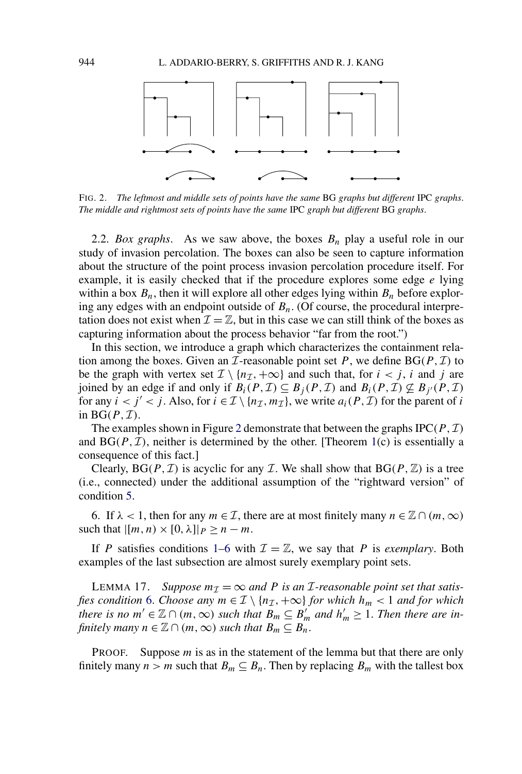<span id="page-13-0"></span>

FIG. 2. *The leftmost and middle sets of points have the same* BG *graphs but different* IPC *graphs*. *The middle and rightmost sets of points have the same* IPC *graph but different* BG *graphs*.

2.2. *Box graphs*. As we saw above, the boxes *Bn* play a useful role in our study of invasion percolation. The boxes can also be seen to capture information about the structure of the point process invasion percolation procedure itself. For example, it is easily checked that if the procedure explores some edge *e* lying within a box  $B_n$ , then it will explore all other edges lying within  $B_n$  before exploring any edges with an endpoint outside of  $B_n$ . (Of course, the procedural interpretation does not exist when  $\mathcal{I} = \mathbb{Z}$ , but in this case we can still think of the boxes as capturing information about the process behavior "far from the root.")

In this section, we introduce a graph which characterizes the containment relation among the boxes. Given an  $\mathcal I$ -reasonable point set  $P$ , we define  $BG(P, \mathcal I)$  to be the graph with vertex set  $\mathcal{I} \setminus \{n_{\mathcal{I}}, +\infty\}$  and such that, for  $i < j$ , *i* and *j* are joined by an edge if and only if  $B_i(P, \mathcal{I}) \subseteq B_j(P, \mathcal{I})$  and  $B_i(P, \mathcal{I}) \nsubseteq B_{j'}(P, \mathcal{I})$ for any  $i < j' < j$ . Also, for  $i \in \mathcal{I} \setminus \{n_{\mathcal{I}}, m_{\mathcal{I}}\}$ , we write  $a_i(P, \mathcal{I})$  for the parent of *i* in  $BG(P, \mathcal{I})$ .

The examples shown in Figure 2 demonstrate that between the graphs  $IPC(P, \mathcal{I})$ and  $BG(P, \mathcal{I})$ , neither is determined by the other. [Theorem [1\(](#page-3-0)c) is essentially a consequence of this fact.]

Clearly,  $BG(P, \mathcal{I})$  is acyclic for any  $\mathcal{I}$ . We shall show that  $BG(P, \mathbb{Z})$  is a tree (i.e., connected) under the additional assumption of the "rightward version" of condition [5.](#page-10-0)

6. If  $\lambda$  < 1, then for any  $m \in \mathcal{I}$ , there are at most finitely many  $n \in \mathbb{Z} \cap (m, \infty)$ such that  $|[m,n)\times[0,\lambda]|_P\geq n-m$ .

If *P* satisfies conditions [1–](#page-6-0)6 with  $\mathcal{I} = \mathbb{Z}$ , we say that *P* is *exemplary*. Both examples of the last subsection are almost surely exemplary point sets.

LEMMA 17. Suppose  $m<sub>\mathcal{I}</sub> = \infty$  and P is an *I*-reasonable point set that satis*fies condition* 6. *Choose any*  $m \in \mathcal{I} \setminus \{n_{\mathcal{I}}, +\infty\}$  *for which*  $h_m < 1$  *and for which there is no*  $m' \in \mathbb{Z} \cap (m, \infty)$  *such that*  $B_m \subseteq B'_m$  *and*  $h'_m \geq 1$ *. Then there are infinitely many*  $n \in \mathbb{Z} \cap (m, \infty)$  *such that*  $B_m \subseteq B_n$ .

PROOF. Suppose *m* is as in the statement of the lemma but that there are only finitely many  $n > m$  such that  $B_m \subseteq B_n$ . Then by replacing  $B_m$  with the tallest box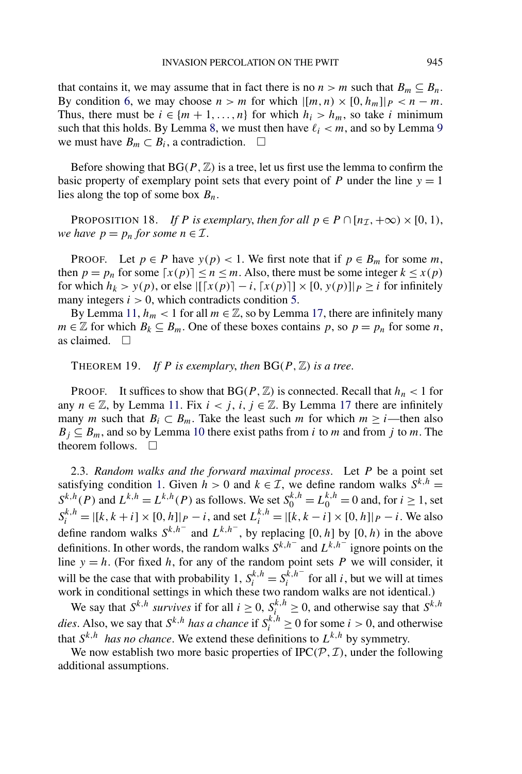<span id="page-14-0"></span>that contains it, we may assume that in fact there is no  $n > m$  such that  $B_m \subseteq B_n$ . By condition [6,](#page-13-0) we may choose  $n > m$  for which  $|[m, n) \times [0, h_m]|_P < n - m$ . Thus, there must be  $i \in \{m+1,\ldots,n\}$  for which  $h_i > h_m$ , so take *i* minimum such that this holds. By Lemma [8,](#page-9-0) we must then have  $\ell_i < m$ , and so by Lemma [9](#page-9-0) we must have  $B_m \subset B_i$ , a contradiction.  $\Box$ 

Before showing that  $BG(P, \mathbb{Z})$  is a tree, let us first use the lemma to confirm the basic property of exemplary point sets that every point of *P* under the line  $y = 1$ lies along the top of some box *Bn*.

PROPOSITION 18. *If P* is exemplary, then for all  $p \in P \cap [n_{\mathcal{I}}, +\infty) \times [0, 1)$ , *we have*  $p = p_n$  *for some*  $n \in \mathcal{I}$ .

PROOF. Let  $p \in P$  have  $y(p) < 1$ . We first note that if  $p \in B_m$  for some *m*, then  $p = p_n$  for some  $[x(p)] \le n \le m$ . Also, there must be some integer  $k \le x(p)$ for which  $h_k > y(p)$ , or else  $|[[x(p)] - i, [x(p)]] \times [0, y(p)]|_P \ge i$  for infinitely many integers  $i > 0$ , which contradicts condition [5.](#page-10-0)

By Lemma [11,](#page-11-0)  $h_m < 1$  for all  $m \in \mathbb{Z}$ , so by Lemma [17,](#page-13-0) there are infinitely many *m* ∈  $\mathbb{Z}$  for which  $B_k \subseteq B_m$ . One of these boxes contains *p*, so *p* = *p<sub>n</sub>* for some *n*, as claimed.  $\square$ 

THEOREM 19. *If P* is exemplary, then  $BG(P, \mathbb{Z})$  is a tree.

**PROOF.** It suffices to show that  $BG(P, \mathbb{Z})$  is connected. Recall that  $h_n < 1$  for any  $n \in \mathbb{Z}$ , by Lemma [11.](#page-11-0) Fix  $i < j$ ,  $i, j \in \mathbb{Z}$ . By Lemma [17](#page-13-0) there are infinitely many *m* such that  $B_i \subset B_m$ . Take the least such *m* for which  $m \geq i$ —then also  $B_i \subseteq B_m$ , and so by Lemma [10](#page-10-0) there exist paths from *i* to *m* and from *j* to *m*. The theorem follows.  $\square$ 

2.3. *Random walks and the forward maximal process*. Let *P* be a point set satisfying condition [1.](#page-6-0) Given  $h > 0$  and  $k \in \mathcal{I}$ , we define random walks  $S^{k,h} =$  $S^{k,h}(P)$  and  $L^{k,h} = L^{k,h}(P)$  as follows. We set  $S_0^{k,h} = L_0^{k,h} = 0$  and, for  $i \ge 1$ , set  $S_i^{k,h} = |[k, k + i] \times [0, h]|_P - i$ , and set  $L_i^{k,h} = |[k, k - i] \times [0, h]|_P - i$ . We also define random walks  $S^{k,h^-}$  and  $L^{k,h^-}$ , by replacing [0*, h*] by [0*, h*) in the above definitions. In other words, the random walks  $S^{k,h^-}$  and  $L^{k,h^-}$  ignore points on the line  $y = h$ . (For fixed *h*, for any of the random point sets *P* we will consider, it will be the case that with probability 1,  $S_i^{k,h} = S_i^{\hat{k},h^-}$  for all *i*, but we will at times work in conditional settings in which these two random walks are not identical.)

We say that  $S^{k,h}$  *survives* if for all  $i \geq 0$ ,  $S^{k,h}_{i} \geq 0$ , and otherwise say that  $S^{k,h}$ *dies.* Also, we say that  $S^{k,h}$  *has a chance* if  $S_i^{k,h} \ge 0$  for some  $i > 0$ , and otherwise that  $S^{k,h}$  *has no chance*. We extend these definitions to  $L^{k,h}$  by symmetry.

We now establish two more basic properties of  $IPC(P, \mathcal{I})$ , under the following additional assumptions.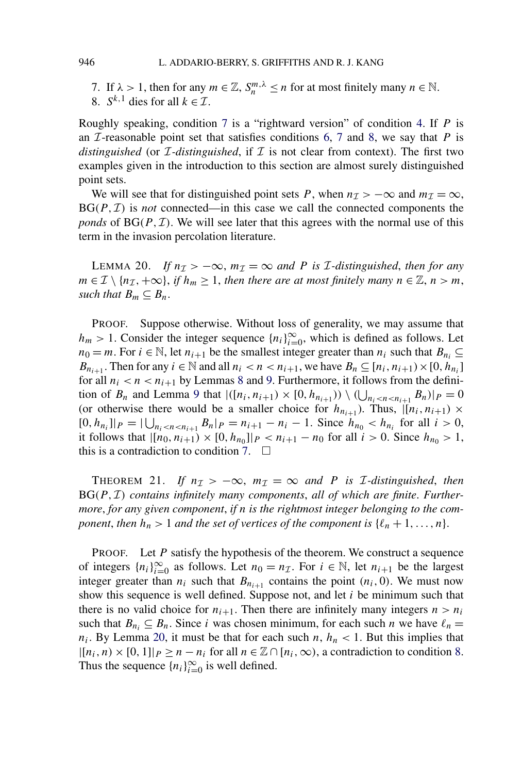7. If  $\lambda > 1$ , then for any  $m \in \mathbb{Z}$ ,  $S_n^{m,\lambda} \le n$  for at most finitely many  $n \in \mathbb{N}$ .

8.  $S^{k,1}$  dies for all  $k \in \mathcal{I}$ .

Roughly speaking, condition 7 is a "rightward version" of condition [4.](#page-10-0) If *P* is an  $I$ -reasonable point set that satisfies conditions [6,](#page-13-0) 7 and 8, we say that  $P$  is *distinguished* (or  $\mathcal{I}$ -distinguished, if  $\mathcal{I}$  is not clear from context). The first two examples given in the introduction to this section are almost surely distinguished point sets.

We will see that for distinguished point sets *P*, when  $n<sub>\mathcal{I}</sub> > -\infty$  and  $m<sub>\mathcal{I}</sub> = \infty$ ,  $BG(P, I)$  is *not* connected—in this case we call the connected components the *ponds* of  $BG(P, \mathcal{I})$ . We will see later that this agrees with the normal use of this term in the invasion percolation literature.

LEMMA 20. *If*  $n<sub>I</sub> > −∞$ ,  $m<sub>I</sub> = ∞$  *and P is I*-distinguished, then for any *m* ∈ *I* \  $\{n_{\mathcal{I}}, +\infty\}$ , *if*  $h_m \geq 1$ , *then there are at most finitely many*  $n \in \mathbb{Z}$ ,  $n > m$ , *such that*  $B_m \subseteq B_n$ .

PROOF. Suppose otherwise. Without loss of generality, we may assume that *h<sub>m</sub>* > 1. Consider the integer sequence  $\{n_i\}_{i=0}^{\infty}$ , which is defined as follows. Let *n*<sub>0</sub> = *m*. For *i* ∈ N, let *n*<sub>*i*+1</sub> be the smallest integer greater than *n<sub>i</sub>* such that *B*<sub>*n<sub>i</sub>*</sub> ⊆ *B*<sub>*n*<sub>*i*+1</sub></sub>. Then for any  $i \in \mathbb{N}$  and all  $n_i < n < n_{i+1}$ , we have  $B_n \subseteq [n_i, n_{i+1}) \times [0, h_n]$ for all  $n_i < n < n_{i+1}$  by Lemmas [8](#page-9-0) and [9.](#page-9-0) Furthermore, it follows from the definition of  $B_n$  and Lemma [9](#page-9-0) that  $|(n_i, n_{i+1}) \times (0, h_{n_{i+1}})) \setminus (\bigcup_{n_i < n < n_{i+1}} B_n)|_P = 0$ (or otherwise there would be a smaller choice for  $h_{n_{i+1}}$ ). Thus,  $|[n_i, n_{i+1}) \times$  $[0, h_{n_i}]|_P = |\bigcup_{n_i < n < n_{i+1}} B_n|_P = n_{i+1} - n_i - 1$ . Since  $h_{n_0} < h_{n_i}$  for all  $i > 0$ , it follows that  $|[n_0, n_{i+1}) \times [0, h_{n_0}]|_P < n_{i+1} - n_0$  for all  $i > 0$ . Since  $h_{n_0} > 1$ , this is a contradiction to condition 7.  $\Box$ 

THEOREM 21. *If*  $n_{\mathcal{I}} > -\infty$ ,  $m_{\mathcal{I}} = \infty$  and *P is I*-distinguished, then BG*(P,* I*) contains infinitely many components*, *all of which are finite*. *Furthermore*, *for any given component*, *if n is the rightmost integer belonging to the component, then*  $h_n > 1$  *and the set of vertices of the component is*  $\{\ell_n + 1, \ldots, n\}$ .

PROOF. Let *P* satisfy the hypothesis of the theorem. We construct a sequence of integers  $\{n_i\}_{i=0}^{\infty}$  as follows. Let  $n_0 = n_{\mathcal{I}}$ . For  $i \in \mathbb{N}$ , let  $n_{i+1}$  be the largest integer greater than  $n_i$  such that  $B_{n_{i+1}}$  contains the point  $(n_i, 0)$ . We must now show this sequence is well defined. Suppose not, and let *i* be minimum such that there is no valid choice for  $n_{i+1}$ . Then there are infinitely many integers  $n > n_i$ such that  $B_{n_i} \subseteq B_n$ . Since *i* was chosen minimum, for each such *n* we have  $\ell_n =$  $n_i$ . By Lemma 20, it must be that for each such  $n, h_n < 1$ . But this implies that  $|[n_i,n)\times[0,1]|_P\geq n-n_i$  for all  $n\in\mathbb{Z}\cap[n_i,\infty)$ , a contradiction to condition 8. Thus the sequence  ${n_i}_{i=0}^{\infty}$  is well defined.

<span id="page-15-0"></span>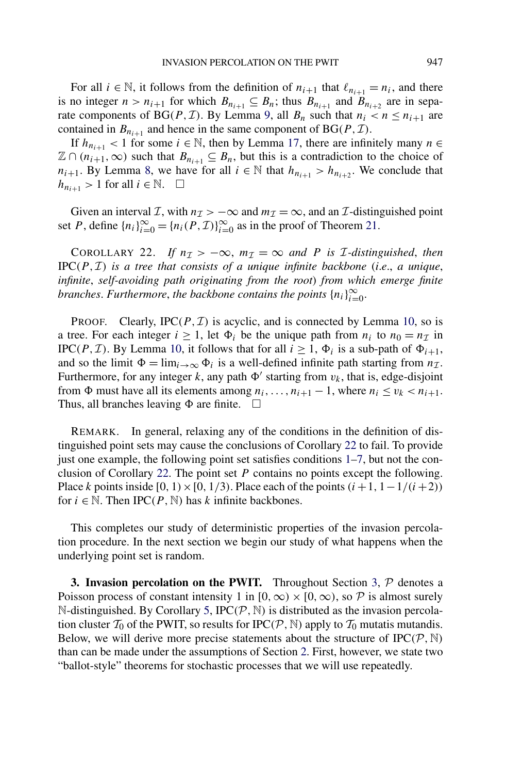<span id="page-16-0"></span>For all  $i \in \mathbb{N}$ , it follows from the definition of  $n_{i+1}$  that  $\ell_{n_{i+1}} = n_i$ , and there is no integer  $n > n_{i+1}$  for which  $B_{n_{i+1}} \subseteq B_n$ ; thus  $B_{n_{i+1}}$  and  $B_{n_{i+2}}$  are in sepa-rate components of BG(P, T). By Lemma [9,](#page-9-0) all  $B_n$  such that  $n_i < n \leq n_{i+1}$  are contained in  $B_{n_{i+1}}$  and hence in the same component of  $BG(P, \mathcal{I})$ .

If  $h_{n_{i+1}}$  < 1 for some  $i \in \mathbb{N}$ , then by Lemma [17,](#page-13-0) there are infinitely many *n* ∈  $\mathbb{Z} \cap (n_{i+1}, \infty)$  such that  $B_{n_{i+1}} \subseteq B_n$ , but this is a contradiction to the choice of *n<sub>i+1</sub>*. By Lemma [8,](#page-9-0) we have for all  $i \in \mathbb{N}$  that  $h_{n_{i+1}} > h_{n_{i+2}}$ . We conclude that  $h_{n_{i+1}} > 1$  for all  $i \in \mathbb{N}$ .  $\Box$ 

Given an interval *I*, with  $n<sub>\mathcal{I}</sub> > -\infty$  and  $m<sub>\mathcal{I}</sub> = \infty$ , and an *I*-distinguished point set *P*, define  $\{n_i\}_{i=0}^{\infty} = \{n_i(P, \mathcal{I})\}_{i=0}^{\infty}$  as in the proof of Theorem [21.](#page-15-0)

COROLLARY 22. If  $n_{\mathcal{I}} > -\infty$ ,  $m_{\mathcal{I}} = \infty$  and P is *I*-distinguished, then IPC*(P,* I*) is a tree that consists of a unique infinite backbone* (*i*.*e*., *a unique*, *infinite*, *self-avoiding path originating from the root*) *from which emerge finite branches. Furthermore, the backbone contains the points*  $\{n_i\}_{i=0}^{\infty}$ .

**PROOF.** Clearly, IPC $(P, \mathcal{I})$  is acyclic, and is connected by Lemma [10,](#page-10-0) so is a tree. For each integer  $i \ge 1$ , let  $\Phi_i$  be the unique path from  $n_i$  to  $n_0 = n_{\mathcal{I}}$  in IPC(P, I). By Lemma [10,](#page-10-0) it follows that for all  $i \ge 1$ ,  $\Phi_i$  is a sub-path of  $\Phi_{i+1}$ , and so the limit  $\Phi = \lim_{i \to \infty} \Phi_i$  is a well-defined infinite path starting from  $n_{\mathcal{I}}$ . Furthermore, for any integer  $k$ , any path  $\Phi'$  starting from  $v_k$ , that is, edge-disjoint from  $\Phi$  must have all its elements among  $n_i, \ldots, n_{i+1} - 1$ , where  $n_i \le v_k < n_{i+1}$ . Thus, all branches leaving  $\Phi$  are finite.  $\Box$ 

REMARK. In general, relaxing any of the conditions in the definition of distinguished point sets may cause the conclusions of Corollary 22 to fail. To provide just one example, the following point set satisfies conditions [1](#page-6-0)[–7,](#page-15-0) but not the conclusion of Corollary 22. The point set *P* contains no points except the following. Place *k* points inside  $[0, 1) \times [0, 1/3)$ . Place each of the points  $(i+1, 1-1/(i+2))$ for  $i \in \mathbb{N}$ . Then IPC(P,  $\mathbb{N}$ ) has k infinite backbones.

This completes our study of deterministic properties of the invasion percolation procedure. In the next section we begin our study of what happens when the underlying point set is random.

**3. Invasion percolation on the PWIT.** Throughout Section 3, P denotes a Poisson process of constant intensity 1 in  $[0, \infty) \times [0, \infty)$ , so P is almost surely N-distinguished. By Corollary [5,](#page-7-0)  $IPC(P, \mathbb{N})$  is distributed as the invasion percolation cluster  $\mathcal{T}_0$  of the PWIT, so results for IPC( $\mathcal{P}, \mathbb{N}$ ) apply to  $\mathcal{T}_0$  mutatis mutandis. Below, we will derive more precise statements about the structure of  $IPC(P, \mathbb{N})$ than can be made under the assumptions of Section [2.](#page-5-0) First, however, we state two "ballot-style" theorems for stochastic processes that we will use repeatedly.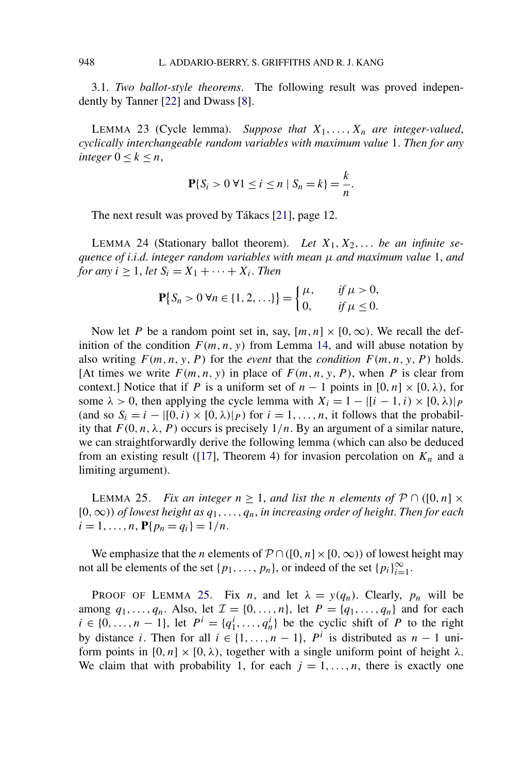<span id="page-17-0"></span>3.1. *Two ballot-style theorems*. The following result was proved independently by Tanner [\[22\]](#page-38-0) and Dwass [\[8\]](#page-38-0).

LEMMA 23 (Cycle lemma). Suppose that  $X_1, \ldots, X_n$  are integer-valued, *cyclically interchangeable random variables with maximum value* 1. *Then for any integer*  $0 < k < n$ ,

$$
\mathbf{P}\{S_i > 0 \; \forall 1 \le i \le n \; | \; S_n = k\} = \frac{k}{n}.
$$

The next result was proved by Tákacs [\[21\]](#page-38-0), page 12.

LEMMA 24 (Stationary ballot theorem). Let  $X_1, X_2, \ldots$  be an infinite se*quence of i*.*i*.*d*. *integer random variables with mean μ and maximum value* 1, *and for any*  $i \geq 1$ , *let*  $S_i = X_1 + \cdots + X_i$ . *Then* 

$$
\mathbf{P}\{S_n > 0 \,\forall n \in \{1, 2, \ldots\}\} = \begin{cases} \mu, & \text{if } \mu > 0, \\ 0, & \text{if } \mu \le 0. \end{cases}
$$

Now let *P* be a random point set in, say,  $[m, n] \times [0, \infty)$ . We recall the definition of the condition  $F(m, n, y)$  from Lemma [14,](#page-12-0) and will abuse notation by also writing  $F(m, n, y, P)$  for the *event* that the *condition*  $F(m, n, y, P)$  holds. [At times we write  $F(m, n, y)$  in place of  $F(m, n, y, P)$ , when *P* is clear from context.] Notice that if *P* is a uniform set of  $n-1$  points in  $[0, n] \times [0, \lambda)$ , for some  $\lambda > 0$ , then applying the cycle lemma with  $X_i = 1 - |[i - 1, i) \times [0, \lambda]|_P$ (and so  $S_i = i - [(0, i) \times (0, \lambda)]_P$ ) for  $i = 1, \ldots, n$ , it follows that the probability that  $F(0, n, \lambda, P)$  occurs is precisely  $1/n$ . By an argument of a similar nature, we can straightforwardly derive the following lemma (which can also be deduced from an existing result ([\[17\]](#page-38-0), Theorem 4) for invasion percolation on  $K_n$  and a limiting argument).

LEMMA 25. *Fix an integer*  $n \geq 1$ , *and list the n elements of*  $P \cap ([0, n] \times$ [0*,*∞*)) of lowest height as q*1*,...,qn*, *in increasing order of height*. *Then for each*  $i = 1, \ldots, n$ ,  $P\{p_n = q_i\} = 1/n$ .

We emphasize that the *n* elements of  $P \cap ([0, n] \times [0, \infty))$  of lowest height may not all be elements of the set  $\{p_1, \ldots, p_n\}$ , or indeed of the set  $\{p_i\}_{i=1}^{\infty}$ .

PROOF OF LEMMA 25. Fix *n*, and let  $\lambda = y(q_n)$ . Clearly,  $p_n$  will be among  $q_1, ..., q_n$ . Also, let  $\mathcal{I} = \{0, ..., n\}$ , let  $P = \{q_1, ..., q_n\}$  and for each  $i \in \{0, ..., n-1\}$ , let  $P^i = \{q_1^i, ..., q_n^i\}$  be the cyclic shift of *P* to the right by distance *i*. Then for all  $i \in \{1, ..., n-1\}$ ,  $P^i$  is distributed as  $n-1$  uniform points in  $[0, n] \times [0, \lambda)$ , together with a single uniform point of height  $\lambda$ . We claim that with probability 1, for each  $j = 1, \ldots, n$ , there is exactly one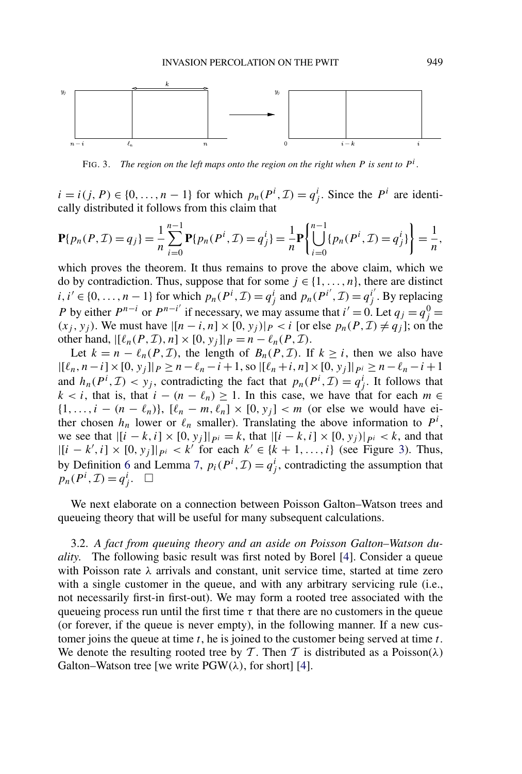<span id="page-18-0"></span>

FIG. 3. *The region on the left maps onto the region on the right when P is sent to*  $P^i$ .

*i* = *i*(*j*, *P*) ∈ {0, ..., *n* − 1} for which  $p_n(P^i, \mathcal{I}) = q^i_j$ . Since the  $P^i$  are identically distributed it follows from this claim that

$$
\mathbf{P}\{p_n(P,\mathcal{I})=q_j\}=\frac{1}{n}\sum_{i=0}^{n-1}\mathbf{P}\{p_n(P^i,\mathcal{I})=q_j^i\}=\frac{1}{n}\mathbf{P}\left\{\bigcup_{i=0}^{n-1}\{p_n(P^i,\mathcal{I})=q_j^i\}\right\}=\frac{1}{n},
$$

which proves the theorem. It thus remains to prove the above claim, which we do by contradiction. Thus, suppose that for some  $j \in \{1, ..., n\}$ , there are distinct *i*, *i*<sup> $'$ </sup> ∈ {0, ..., *n* − 1} for which  $p_n(P^i, \mathcal{I}) = q^i_j$  and  $p_n(P^{i'}, \mathcal{I}) = q^{i'}_j$ . By replacing *P* by either  $P^{n-i}$  or  $P^{n-i'}$  if necessary, we may assume that  $i' = 0$ . Let  $q_j = q_j^0 = 0$  $(x_j, y_j)$ . We must have  $|[n-i, n] \times [0, y_j]|$  *P* < *i* [or else  $p_n(P, I) ≠ q_j$ ]; on the other hand,  $|[\ell_n(P, \mathcal{I}), n] \times [0, y_j]|_P = n - \ell_n(P, \mathcal{I}).$ 

Let  $k = n - \ell_n(P, \mathcal{I})$ , the length of  $B_n(P, \mathcal{I})$ . If  $k \geq i$ , then we also have  $|[(\ell_n, n-i] \times [0, y_j]|_P \ge n - \ell_n - i + 1$ , so  $|[(\ell_n+i, n] \times [0, y_j]|_{P^i} \ge n - \ell_n - i + 1$ and  $h_n(P^i, \mathcal{I}) < y_j$ , contradicting the fact that  $p_n(P^i, \mathcal{I}) = q^i_j$ . It follows that  $k < i$ , that is, that  $i - (n - \ell_n) \geq 1$ . In this case, we have that for each  $m \in$  $\{1, \ldots, i - (n - \ell_n)\}, \, [\ell_n - m, \ell_n] \times [0, y_j] < m$  (or else we would have either chosen  $h_n$  lower or  $\ell_n$  smaller). Translating the above information to  $P^i$ , we see that  $|[i - k, i] \times [0, y_j]|_{pi} = k$ , that  $|[i - k, i] \times [0, y_j]|_{pi} < k$ , and that  $|[i - k', i] \times [0, y_j]|_{pi} < k'$  for each  $k' \in \{k + 1, ..., i\}$  (see Figure 3). Thus, by Definition [6](#page-8-0) and Lemma [7,](#page-9-0)  $p_i(P^i, \mathcal{I}) = q^i_j$ , contradicting the assumption that  $p_n(P^i, \mathcal{I}) = q^i_j. \quad \Box$ 

We next elaborate on a connection between Poisson Galton–Watson trees and queueing theory that will be useful for many subsequent calculations.

3.2. *A fact from queuing theory and an aside on Poisson Galton–Watson duality*. The following basic result was first noted by Borel [\[4\]](#page-38-0). Consider a queue with Poisson rate *λ* arrivals and constant, unit service time, started at time zero with a single customer in the queue, and with any arbitrary servicing rule (i.e., not necessarily first-in first-out). We may form a rooted tree associated with the queueing process run until the first time  $\tau$  that there are no customers in the queue (or forever, if the queue is never empty), in the following manner. If a new customer joins the queue at time *t*, he is joined to the customer being served at time *t*. We denote the resulting rooted tree by T. Then T is distributed as a Poisson( $\lambda$ ) Galton–Watson tree [we write  $PGW(\lambda)$ , for short] [\[4\]](#page-38-0).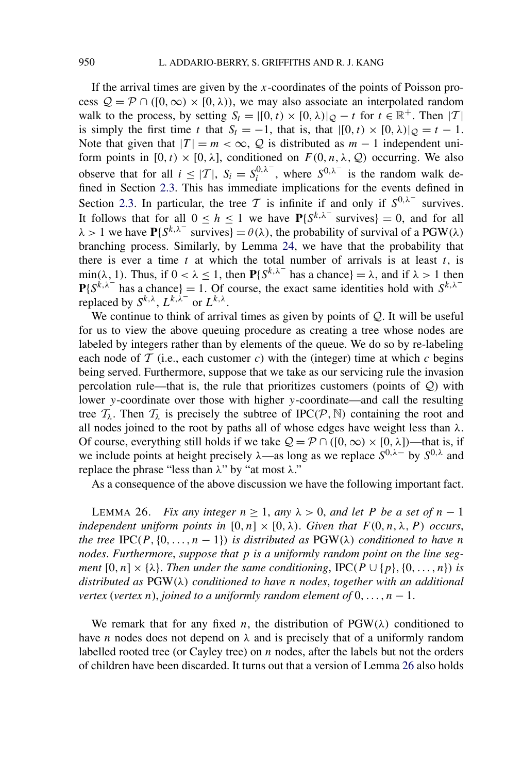<span id="page-19-0"></span>If the arrival times are given by the *x*-coordinates of the points of Poisson process  $Q = P \cap ([0, \infty) \times [0, \lambda))$ , we may also associate an interpolated random walk to the process, by setting  $S_t = |[0, t) \times [0, \lambda)|_Q - t$  for  $t \in \mathbb{R}^+$ . Then |T| is simply the first time *t* that  $S_t = -1$ , that is, that  $|[0, t) \times [0, \lambda]|_{\mathcal{O}} = t - 1$ . Note that given that  $|T| = m < \infty$ , Q is distributed as  $m - 1$  independent uniform points in  $[0, t) \times [0, \lambda]$ , conditioned on  $F(0, n, \lambda, Q)$  occurring. We also observe that for all  $i \leq |\mathcal{T}|$ ,  $S_i = S_i^{0,\lambda^-}$ , where  $S_{i,\lambda^-}$  is the random walk defined in Section [2.3.](#page-14-0) This has immediate implications for the events defined in Section [2.3.](#page-14-0) In particular, the tree T is infinite if and only if  $S^{0,\lambda^-}$  survives. It follows that for all  $0 \le h \le 1$  we have  $P\{S^{k,\lambda^-}$  survives} = 0, and for all  $\lambda > 1$  we have  $P\{S^{k,\lambda^-}$  survives} =  $\theta(\lambda)$ , the probability of survival of a PGW( $\lambda$ ) branching process. Similarly, by Lemma [24,](#page-17-0) we have that the probability that there is ever a time  $t$  at which the total number of arrivals is at least  $t$ , is min( $\lambda$ , 1). Thus, if  $0 < \lambda \le 1$ , then  $P\{S^{k,\lambda^-}$  has a chance} =  $\lambda$ , and if  $\lambda > 1$  then  $P{S^{k,\lambda}}$  has a chance} = 1. Of course, the exact same identities hold with  $S^{k,\lambda}$ <sup>−</sup> replaced by  $S^{k,\lambda}$ ,  $L^{k,\lambda^-}$  or  $L^{k,\lambda}$ .

We continue to think of arrival times as given by points of  $Q$ . It will be useful for us to view the above queuing procedure as creating a tree whose nodes are labeled by integers rather than by elements of the queue. We do so by re-labeling each node of  $T$  (i.e., each customer  $c$ ) with the (integer) time at which  $c$  begins being served. Furthermore, suppose that we take as our servicing rule the invasion percolation rule—that is, the rule that prioritizes customers (points of  $Q$ ) with lower *y*-coordinate over those with higher *y*-coordinate—and call the resulting tree  $\mathcal{T}_{\lambda}$ . Then  $\mathcal{T}_{\lambda}$  is precisely the subtree of IPC( $\mathcal{P}, \mathbb{N}$ ) containing the root and all nodes joined to the root by paths all of whose edges have weight less than *λ*. Of course, everything still holds if we take  $Q = P \cap ([0, \infty) \times [0, \lambda])$ —that is, if we include points at height precisely *λ*—as long as we replace *S*0*,λ*<sup>−</sup> by *S*0*,λ* and replace the phrase "less than *λ*" by "at most *λ*."

As a consequence of the above discussion we have the following important fact.

LEMMA 26. *Fix any integer*  $n \ge 1$ , *any*  $\lambda > 0$ , *and let P be a set of*  $n - 1$ *independent uniform points in*  $[0, n] \times [0, \lambda)$ *. Given that*  $F(0, n, \lambda, P)$  *occurs*, *the tree* IPC( $P$ ,  $\{0, \ldots, n-1\}$ ) *is distributed as* PGW( $\lambda$ ) *conditioned to have n nodes*. *Furthermore*, *suppose that p is a uniformly random point on the line segment*  $[0, n] \times \{\lambda\}$ . *Then under the same conditioning*,  $\text{IPC}(P \cup \{p\}, \{0, ..., n\})$  *is distributed as* PGW*(λ) conditioned to have n nodes*, *together with an additional vertex* (*vertex n*), *joined to a uniformly random element of*  $0, \ldots, n - 1$ .

We remark that for any fixed *n*, the distribution of  $PGW(\lambda)$  conditioned to have *n* nodes does not depend on  $\lambda$  and is precisely that of a uniformly random labelled rooted tree (or Cayley tree) on *n* nodes, after the labels but not the orders of children have been discarded. It turns out that a version of Lemma 26 also holds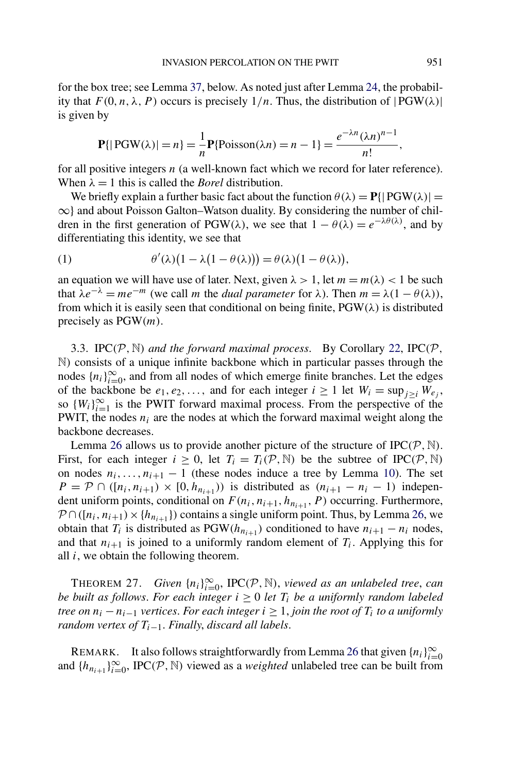<span id="page-20-0"></span>for the box tree; see Lemma [37,](#page-26-0) below. As noted just after Lemma [24,](#page-17-0) the probability that  $F(0, n, \lambda, P)$  occurs is precisely  $1/n$ . Thus, the distribution of  $|PGW(\lambda)|$ is given by

$$
\mathbf{P}\{|\text{PGW}(\lambda)| = n\} = \frac{1}{n}\mathbf{P}\{\text{Poisson}(\lambda n) = n - 1\} = \frac{e^{-\lambda n}(\lambda n)^{n-1}}{n!},
$$

for all positive integers *n* (a well-known fact which we record for later reference). When  $\lambda = 1$  this is called the *Borel* distribution.

We briefly explain a further basic fact about the function  $\theta(\lambda) = P\{|\text{PGW}(\lambda)| = \text{PGW}(\lambda)\}$ ∞} and about Poisson Galton–Watson duality. By considering the number of children in the first generation of PGW( $\lambda$ ), we see that  $1 - \theta(\lambda) = e^{-\lambda \theta(\lambda)}$ , and by differentiating this identity, we see that

(1) 
$$
\theta'(\lambda)(1-\lambda(1-\theta(\lambda))) = \theta(\lambda)(1-\theta(\lambda)),
$$

an equation we will have use of later. Next, given  $\lambda > 1$ , let  $m = m(\lambda) < 1$  be such that  $\lambda e^{-\lambda} = me^{-m}$  (we call *m* the *dual parameter* for  $\lambda$ ). Then  $m = \lambda(1 - \theta(\lambda))$ , from which it is easily seen that conditional on being finite, PGW*(λ)* is distributed precisely as PGW*(m)*.

3.3. IPC $(P, N)$  *and the forward maximal process.* By Corollary [22,](#page-16-0) IPC $(P, N)$ N*)* consists of a unique infinite backbone which in particular passes through the nodes  $\{n_i\}_{i=0}^{\infty}$ , and from all nodes of which emerge finite branches. Let the edges of the backbone be  $e_1, e_2, \ldots$ , and for each integer  $i \ge 1$  let  $W_i = \sup_{j>i} W_{e_j}$ , so  $\{W_i\}_{i=1}^{\infty}$  is the PWIT forward maximal process. From the perspective of the PWIT, the nodes  $n_i$  are the nodes at which the forward maximal weight along the backbone decreases.

Lemma [26](#page-19-0) allows us to provide another picture of the structure of  $IPC(P, \mathbb{N})$ . First, for each integer  $i \geq 0$ , let  $T_i = T_i(\mathcal{P}, \mathbb{N})$  be the subtree of IPC $(\mathcal{P}, \mathbb{N})$ on nodes  $n_i, \ldots, n_{i+1} - 1$  (these nodes induce a tree by Lemma [10\)](#page-10-0). The set  $P = \mathcal{P} \cap ([n_i, n_{i+1}) \times [0, h_{n_{i+1}}))$  is distributed as  $(n_{i+1} - n_i - 1)$  independent uniform points, conditional on  $F(n_i, n_{i+1}, h_{n_{i+1}}, P)$  occurring. Furthermore,  $P \cap ([n_i, n_{i+1}) \times \{h_{n_{i+1}}\})$  contains a single uniform point. Thus, by Lemma [26,](#page-19-0) we obtain that  $T_i$  is distributed as  $PGW(h_{n_{i+1}})$  conditioned to have  $n_{i+1} - n_i$  nodes, and that  $n_{i+1}$  is joined to a uniformly random element of  $T_i$ . Applying this for all *i*, we obtain the following theorem.

THEOREM 27. *Given*  $\{n_i\}_{i=0}^{\infty}$ , IPC $(\mathcal{P}, \mathbb{N})$ , *viewed as an unlabeled tree, can be built as follows. For each integer*  $i \geq 0$  *let*  $T_i$  *be a uniformly random labeled tree on*  $n_i - n_{i-1}$  *vertices. For each integer*  $i \geq 1$ *, join the root of*  $T_i$  *to a uniformly random vertex of*  $T_{i-1}$ *. Finally, discard all labels.* 

REMARK. It also follows straightforwardly from Lemma [26](#page-19-0) that given  $\{n_i\}_{i=0}^{\infty}$ and  $\{h_{n_{i+1}}\}_{i=0}^{\infty}$ , IPC $(\mathcal{P}, \mathbb{N})$  viewed as a *weighted* unlabeled tree can be built from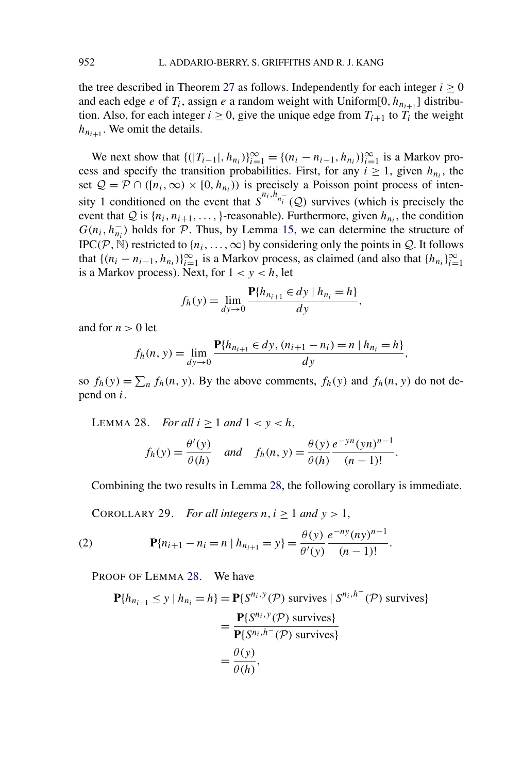<span id="page-21-0"></span>the tree described in Theorem [27](#page-20-0) as follows. Independently for each integer  $i \geq 0$ and each edge *e* of  $T_i$ , assign *e* a random weight with Uniform[0,  $h_{n_{i+1}}$ ] distribution. Also, for each integer  $i \geq 0$ , give the unique edge from  $T_{i+1}$  to  $T_i$  the weight  $h_{n_{i+1}}$ . We omit the details.

We next show that  $\{(|T_{i-1}|, h_{n_i})\}_{i=1}^{\infty} = \{(n_i - n_{i-1}, h_{n_i})\}_{i=1}^{\infty}$  is a Markov process and specify the transition probabilities. First, for any  $i \ge 1$ , given  $h_{n_i}$ , the set  $Q = \mathcal{P} \cap ([n_i, \infty) \times [0, h_{n_i})$  is precisely a Poisson point process of intensity 1 conditioned on the event that  $S^{n_i, h_{n_i^-}}(Q)$  survives (which is precisely the event that  $Q$  is  $\{n_i, n_{i+1}, \ldots, \}$ -reasonable). Furthermore, given  $h_{n_i}$ , the condition  $G(n_i, h_{n_i}^-)$  holds for  $\mathcal P$ . Thus, by Lemma [15,](#page-12-0) we can determine the structure of IPC( $P$ ,  $\mathbb N$ ) restricted to { $n_i$ , ...,  $\infty$ } by considering only the points in  $Q$ . It follows that  $\{(n_i - n_{i-1}, h_{n_i})\}_{i=1}^{\infty}$  is a Markov process, as claimed (and also that  $\{h_{n_i}\}_{i=1}^{\infty}$ is a Markov process). Next, for  $1 < y < h$ , let

$$
f_h(y) = \lim_{dy \to 0} \frac{\mathbf{P}\{h_{n_{i+1}} \in dy \mid h_{n_i} = h\}}{dy},
$$

and for  $n > 0$  let

$$
f_h(n, y) = \lim_{dy \to 0} \frac{\mathbf{P}\{h_{n_{i+1}} \in dy, (n_{i+1} - n_i) = n \mid h_{n_i} = h\}}{dy},
$$

so  $f_h(y) = \sum_n f_h(n, y)$ . By the above comments,  $f_h(y)$  and  $f_h(n, y)$  do not depend on *i*.

LEMMA 28. *For all*  $i \ge 1$  *and*  $1 < y < h$ ,

$$
f_h(y) = \frac{\theta'(y)}{\theta(h)} \quad \text{and} \quad f_h(n, y) = \frac{\theta(y)}{\theta(h)} \frac{e^{-yn}(yn)^{n-1}}{(n-1)!}.
$$

Combining the two results in Lemma 28, the following corollary is immediate.

COROLLARY 29. *For all integers*  $n, i \geq 1$  *and*  $y > 1$ ,

(2) 
$$
\mathbf{P}\{n_{i+1} - n_i = n \mid h_{n_{i+1}} = y\} = \frac{\theta(y)}{\theta'(y)} \frac{e^{-ny} (ny)^{n-1}}{(n-1)!}.
$$

PROOF OF LEMMA 28. We have

$$
\mathbf{P}\{h_{n_{i+1}} \le y \mid h_{n_i} = h\} = \mathbf{P}\{S^{n_i, y}(\mathcal{P}) \text{ survives} \mid S^{n_i, h^-}(\mathcal{P}) \text{ survives}\}
$$

$$
= \frac{\mathbf{P}\{S^{n_i, y}(\mathcal{P}) \text{ survives}\}}{\mathbf{P}\{S^{n_i, h^-}(\mathcal{P}) \text{ survives}\}}
$$

$$
= \frac{\theta(y)}{\theta(h)},
$$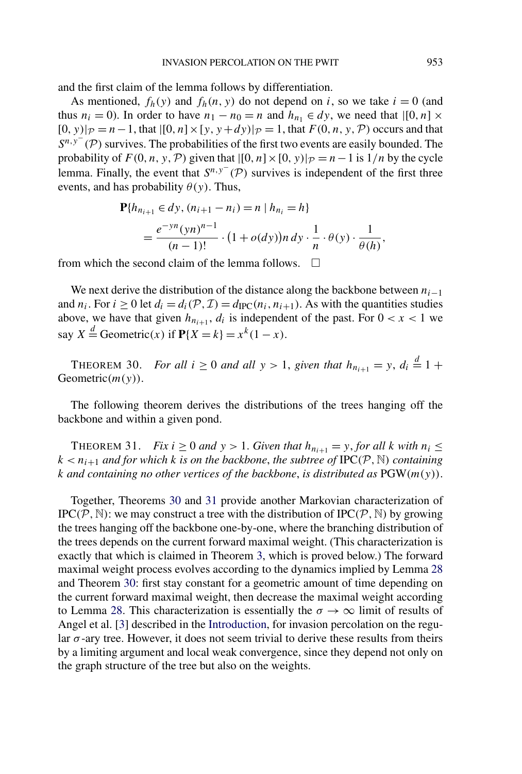<span id="page-22-0"></span>and the first claim of the lemma follows by differentiation.

As mentioned,  $f_h(y)$  and  $f_h(n, y)$  do not depend on *i*, so we take  $i = 0$  (and thus  $n_i = 0$ ). In order to have  $n_1 - n_0 = n$  and  $h_{n_1} \in dy$ , we need that  $\left[0, n\right] \times$  $[0, y)|_{\mathcal{P}} = n - 1$ , that  $[0, n] \times [y, y + dy)|_{\mathcal{P}} = 1$ , that  $F(0, n, y, \mathcal{P})$  occurs and that *S<sup>n,y−</sup>* (*P*) survives. The probabilities of the first two events are easily bounded. The probability of  $F(0, n, y, \mathcal{P})$  given that  $\left| [0, n] \times [0, y] \right|_{\mathcal{P}} = n - 1$  is  $1/n$  by the cycle lemma. Finally, the event that  $S^{n,y^-}(\mathcal{P})$  survives is independent of the first three events, and has probability  $\theta(y)$ . Thus,

$$
\begin{aligned} \mathbf{P}\{h_{n_{i+1}} \in dy, (n_{i+1} - n_i) = n \mid h_{n_i} = h\} \\ &= \frac{e^{-yn}(yn)^{n-1}}{(n-1)!} \cdot \left(1 + o(dy)\right) n \, dy \cdot \frac{1}{n} \cdot \theta(y) \cdot \frac{1}{\theta(h)}, \end{aligned}
$$

from which the second claim of the lemma follows.  $\Box$ 

We next derive the distribution of the distance along the backbone between  $n_{i-1}$ and  $n_i$ . For  $i \ge 0$  let  $d_i = d_i(\mathcal{P}, \mathcal{I}) = d_{\text{IPC}}(n_i, n_{i+1})$ . As with the quantities studies above, we have that given  $h_{n_{i+1}}$ ,  $d_i$  is independent of the past. For  $0 < x < 1$  we say  $X \stackrel{d}{=}$  Geometric $(x)$  if  $P\{X = k\} = x^k(1 - x)$ .

THEOREM 30. *For all*  $i \ge 0$  *and all*  $y > 1$ , *given that*  $h_{n_{i+1}} = y$ ,  $d_i \stackrel{d}{=} 1 +$ Geometric*(m(y))*.

The following theorem derives the distributions of the trees hanging off the backbone and within a given pond.

THEOREM 31. *Fix*  $i \ge 0$  *and*  $y > 1$ . *Given that*  $h_{n_{i+1}} = y$ *, for all k with*  $n_i \le$  $k < n_{i+1}$  *and for which k is on the backbone, the subtree of* IPC( $P$ ,  $N$ ) *containing k and containing no other vertices of the backbone*, *is distributed as* PGW*(m(y))*.

Together, Theorems 30 and 31 provide another Markovian characterization of  $IPC(P, \mathbb{N})$ : we may construct a tree with the distribution of  $IPC(P, \mathbb{N})$  by growing the trees hanging off the backbone one-by-one, where the branching distribution of the trees depends on the current forward maximal weight. (This characterization is exactly that which is claimed in Theorem [3,](#page-4-0) which is proved below.) The forward maximal weight process evolves according to the dynamics implied by Lemma [28](#page-21-0) and Theorem 30: first stay constant for a geometric amount of time depending on the current forward maximal weight, then decrease the maximal weight according to Lemma [28.](#page-21-0) This characterization is essentially the  $\sigma \to \infty$  limit of results of Angel et al. [\[3\]](#page-38-0) described in the [Introduction,](#page-0-0) for invasion percolation on the regular *σ* -ary tree. However, it does not seem trivial to derive these results from theirs by a limiting argument and local weak convergence, since they depend not only on the graph structure of the tree but also on the weights.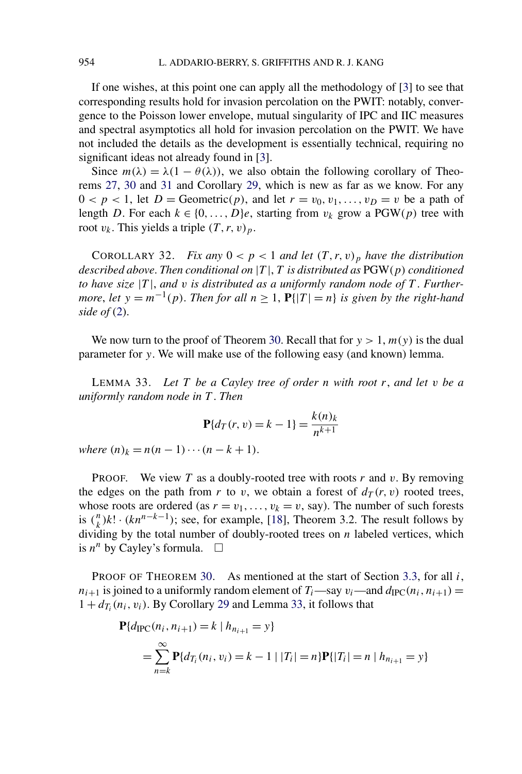If one wishes, at this point one can apply all the methodology of [\[3\]](#page-38-0) to see that corresponding results hold for invasion percolation on the PWIT: notably, convergence to the Poisson lower envelope, mutual singularity of IPC and IIC measures and spectral asymptotics all hold for invasion percolation on the PWIT. We have not included the details as the development is essentially technical, requiring no significant ideas not already found in [\[3\]](#page-38-0).

Since  $m(\lambda) = \lambda(1 - \theta(\lambda))$ , we also obtain the following corollary of Theorems [27,](#page-20-0) [30](#page-22-0) and [31](#page-22-0) and Corollary [29,](#page-21-0) which is new as far as we know. For any  $0 < p < 1$ , let  $D =$  Geometric $(p)$ , and let  $r = v_0, v_1, \ldots, v_D = v$  be a path of length *D*. For each  $k \in \{0, ..., D\}e$ , starting from  $v_k$  grow a PGW(p) tree with root  $v_k$ . This yields a triple  $(T, r, v)_p$ .

COROLLARY 32. *Fix any*  $0 < p < 1$  *and let*  $(T, r, v)_p$  *have the distribution described above*. *Then conditional on* |*T* |, *T is distributed as* PGW*(p) conditioned to have size* |*T* |, *and v is distributed as a uniformly random node of T* . *Furthermore*, *let*  $y = m^{-1}(p)$ *. Then for all*  $n \ge 1$ ,  $P\{|T| = n\}$  *is given by the right-hand side of* [\(2\)](#page-21-0).

We now turn to the proof of Theorem [30.](#page-22-0) Recall that for  $y > 1$ ,  $m(y)$  is the dual parameter for *y*. We will make use of the following easy (and known) lemma.

LEMMA 33. *Let T be a Cayley tree of order n with root r*, *and let v be a uniformly random node in T* . *Then*

$$
\mathbf{P}\{d_T(r, v) = k - 1\} = \frac{k(n)_k}{n^{k+1}}
$$

 $where (n)_k = n(n-1)\cdots(n-k+1).$ 

PROOF. We view *T* as a doubly-rooted tree with roots *r* and *v*. By removing the edges on the path from *r* to *v*, we obtain a forest of  $d_T(r, v)$  rooted trees, whose roots are ordered (as  $r = v_1, \ldots, v_k = v$ , say). The number of such forests is  $\binom{n}{k}k! \cdot (kn^{n-k-1})$ ; see, for example, [\[18\]](#page-38-0), Theorem 3.2. The result follows by dividing by the total number of doubly-rooted trees on *n* labeled vertices, which is  $n^n$  by Cayley's formula.  $\Box$ 

PROOF OF THEOREM [30.](#page-22-0) As mentioned at the start of Section [3.3,](#page-20-0) for all *i*,  $n_{i+1}$  is joined to a uniformly random element of  $T_i$ —say  $v_i$ —and  $d_{\text{IPC}}(n_i, n_{i+1}) =$  $1 + d_{T_i}(n_i, v_i)$ . By Corollary [29](#page-21-0) and Lemma 33, it follows that

$$
\begin{aligned} \mathbf{P}\{d_{\text{IPC}}(n_i, n_{i+1}) = k \mid h_{n_{i+1}} = y\} \\ &= \sum_{n=k}^{\infty} \mathbf{P}\{d_{T_i}(n_i, v_i) = k - 1 \mid |T_i| = n\} \mathbf{P}\{|T_i| = n \mid h_{n_{i+1}} = y\} \end{aligned}
$$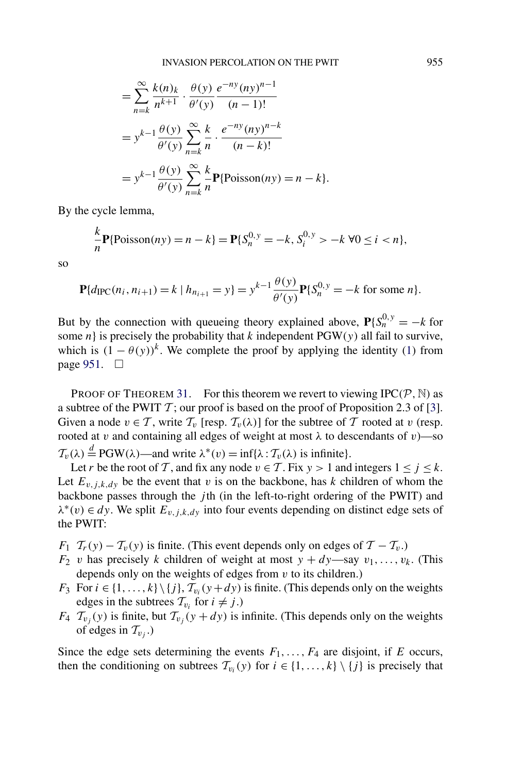$$
= \sum_{n=k}^{\infty} \frac{k(n)_k}{n^{k+1}} \cdot \frac{\theta(y)}{\theta'(y)} \frac{e^{-ny}(ny)^{n-1}}{(n-1)!}
$$
  
=  $y^{k-1} \frac{\theta(y)}{\theta'(y)} \sum_{n=k}^{\infty} \frac{k}{n} \cdot \frac{e^{-ny}(ny)^{n-k}}{(n-k)!}$   
=  $y^{k-1} \frac{\theta(y)}{\theta'(y)} \sum_{n=k}^{\infty} \frac{k}{n} \mathbf{P}\{\text{Poisson}(ny) = n - k\}.$ 

By the cycle lemma,

$$
\frac{k}{n}\mathbf{P}\{\text{Poisson}(ny) = n - k\} = \mathbf{P}\{S_n^{0,y} = -k, S_i^{0,y} > -k \,\forall 0 \le i < n\},\
$$

so

$$
\mathbf{P}\{d_{\text{IPC}}(n_i, n_{i+1}) = k \mid h_{n_{i+1}} = y\} = y^{k-1} \frac{\theta(y)}{\theta'(y)} \mathbf{P}\{S_n^{0, y} = -k \text{ for some } n\}.
$$

But by the connection with queueing theory explained above,  $P{\delta_n^{0,y}} = -k$  for some *n*} is precisely the probability that *k* independent  $PGW(y)$  all fail to survive, which is  $(1 - \theta(y))^k$ . We complete the proof by applying the identity [\(1\)](#page-20-0) from page [951.](#page-20-0)  $\Box$ 

PROOF OF THEOREM [31.](#page-22-0) For this theorem we revert to viewing  $IPC(P, \mathbb{N})$  as a subtree of the PWIT  $\mathcal T$ ; our proof is based on the proof of Proposition 2.3 of [\[3\]](#page-38-0). Given a node  $v \in \mathcal{T}$ , write  $\mathcal{T}_v$  [resp.  $\mathcal{T}_v(\lambda)$ ] for the subtree of  $\mathcal T$  rooted at  $v$  (resp. rooted at *v* and containing all edges of weight at most  $λ$  to descendants of *v*)—so  $T_v(\lambda) \stackrel{d}{=} \text{PGW}(\lambda)$ —and write  $\lambda^*(v) = \inf{\lambda : T_v(\lambda) \text{ is infinite}}$ .

Let *r* be the root of T, and fix any node  $v \in T$ . Fix  $y > 1$  and integers  $1 \le j \le k$ . Let  $E_{v,i,k,dy}$  be the event that *v* is on the backbone, has *k* children of whom the backbone passes through the *j* th (in the left-to-right ordering of the PWIT) and  $\lambda^*(v) \in dy$ . We split  $E_{v,i,k,dv}$  into four events depending on distinct edge sets of the PWIT:

- *F*<sub>1</sub>  $\mathcal{T}_r(y) \mathcal{T}_v(y)$  is finite. (This event depends only on edges of  $\mathcal{T} \mathcal{T}_v$ .)
- *F*<sub>2</sub> *v* has precisely *k* children of weight at most  $y + dy$ —say  $v_1, \ldots, v_k$ . (This depends only on the weights of edges from *v* to its children.)
- *F*<sub>3</sub> For  $i \in \{1, ..., k\} \setminus \{j\}$ ,  $\mathcal{T}_{v_i}(y + dy)$  is finite. (This depends only on the weights edges in the subtrees  $\mathcal{T}_{v_i}$  for  $i \neq j$ .)
- *F*<sub>4</sub>  $\mathcal{T}_{v_i}(y)$  is finite, but  $\mathcal{T}_{v_i}(y + dy)$  is infinite. (This depends only on the weights of edges in  $T_{v_i}$ .)

Since the edge sets determining the events  $F_1, \ldots, F_4$  are disjoint, if  $E$  occurs, then the conditioning on subtrees  $\mathcal{T}_{v_i}(y)$  for  $i \in \{1, ..., k\} \setminus \{j\}$  is precisely that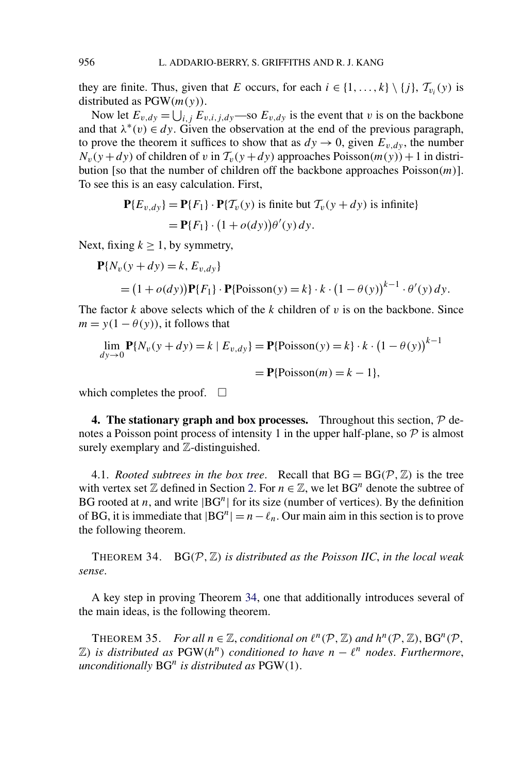<span id="page-25-0"></span>they are finite. Thus, given that *E* occurs, for each  $i \in \{1, ..., k\} \setminus \{j\}$ ,  $\mathcal{T}_{v_i}(y)$  is distributed as PGW*(m(y))*.

Now let  $E_{v,dy} = \bigcup_{i,j} E_{v,i,j,dy}$  —so  $E_{v,dy}$  is the event that *v* is on the backbone and that  $\lambda^*(v) \in dy$ . Given the observation at the end of the previous paragraph, to prove the theorem it suffices to show that as  $dy \rightarrow 0$ , given  $E_{v,dy}$ , the number  $N_v(y + dy)$  of children of *v* in  $\mathcal{T}_v(y + dy)$  approaches Poisson $(m(y)) + 1$  in distribution [so that the number of children off the backbone approaches Poisson*(m)*]. To see this is an easy calculation. First,

$$
\mathbf{P}\{E_{v,dy}\} = \mathbf{P}\{F_1\} \cdot \mathbf{P}\{T_v(y) \text{ is finite but } T_v(y + dy) \text{ is infinite}\}
$$

$$
= \mathbf{P}\{F_1\} \cdot (1 + o(dy))\theta'(y) dy.
$$

Next, fixing  $k \ge 1$ , by symmetry,

$$
\mathbf{P}\{N_v(y + dy) = k, E_{v, dy}\}\
$$
  
=  $(1 + o(dy))\mathbf{P}\{F_1\} \cdot \mathbf{P}\{\text{Poisson}(y) = k\} \cdot k \cdot (1 - \theta(y))^{k-1} \cdot \theta'(y) dy.$ 

The factor *k* above selects which of the *k* children of *v* is on the backbone. Since  $m = y(1 - \theta(y))$ , it follows that

$$
\lim_{dy \to 0} \mathbf{P}\{N_v(y + dy) = k \mid E_{v,dy}\} = \mathbf{P}\{\text{Poisson}(y) = k\} \cdot k \cdot (1 - \theta(y))^{k-1}
$$

$$
= \mathbf{P}\{\text{Poisson}(m) = k - 1\},
$$

which completes the proof.  $\square$ 

**4. The stationary graph and box processes.** Throughout this section,  $\mathcal{P}$  denotes a Poisson point process of intensity 1 in the upper half-plane, so  $\mathcal P$  is almost surely exemplary and  $\mathbb{Z}$ -distinguished.

4.1. *Rooted subtrees in the box tree.* Recall that  $BG = BG(P, \mathbb{Z})$  is the tree with vertex set  $\mathbb Z$  defined in Section [2.](#page-5-0) For  $n \in \mathbb Z$ , we let BG<sup>n</sup> denote the subtree of BG rooted at *n*, and write  $|BG^n|$  for its size (number of vertices). By the definition of BG, it is immediate that  $|BG^n| = n - \ell_n$ . Our main aim in this section is to prove the following theorem.

THEOREM 34.  $BG(P, \mathbb{Z})$  *is distributed as the Poisson IIC, in the local weak sense*.

A key step in proving Theorem 34, one that additionally introduces several of the main ideas, is the following theorem.

THEOREM 35. *For all*  $n \in \mathbb{Z}$ , *conditional on*  $\ell^n(\mathcal{P}, \mathbb{Z})$  *and*  $h^n(\mathcal{P}, \mathbb{Z})$ , BG<sup>n</sup>( $\mathcal{P}$ ,  $\mathbb{Z}$ *)* is distributed as PGW( $h^n$ ) conditioned to have  $n - \ell^n$  nodes. Furthermore, *unconditionally* BG*<sup>n</sup> is distributed as* PGW*(*1*)*.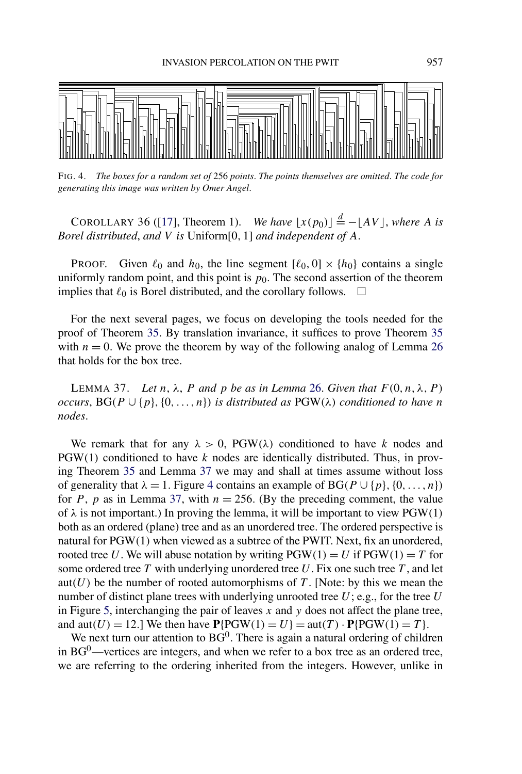<span id="page-26-0"></span>

FIG. 4. *The boxes for a random set of* 256 *points*. *The points themselves are omitted*. *The code for generating this image was written by Omer Angel*.

COROLLARY 36 ([\[17\]](#page-38-0), Theorem 1). *We have*  $\lfloor x(p_0) \rfloor \stackrel{d}{=} -\lfloor AV \rfloor$ , *where A is Borel distributed*, *and V is* Uniform[0*,* 1] *and independent of A*.

**PROOF.** Given  $\ell_0$  and  $h_0$ , the line segment  $[\ell_0, 0] \times \{h_0\}$  contains a single uniformly random point, and this point is  $p_0$ . The second assertion of the theorem implies that  $\ell_0$  is Borel distributed, and the corollary follows.  $\Box$ 

For the next several pages, we focus on developing the tools needed for the proof of Theorem [35.](#page-25-0) By translation invariance, it suffices to prove Theorem [35](#page-25-0) with  $n = 0$ . We prove the theorem by way of the following analog of Lemma [26](#page-19-0) that holds for the box tree.

LEMMA 37. *Let n*,  $λ$ , *P and p be as in Lemma [26.](#page-19-0) Given that*  $F(0, n, λ, P)$ *occurs*,  $BG(P \cup \{p\}, \{0, \ldots, n\})$  *is distributed as*  $PGW(\lambda)$  *conditioned to have n nodes*.

We remark that for any  $\lambda > 0$ , PGW( $\lambda$ ) conditioned to have *k* nodes and PGW*(*1*)* conditioned to have *k* nodes are identically distributed. Thus, in proving Theorem [35](#page-25-0) and Lemma 37 we may and shall at times assume without loss of generality that  $\lambda = 1$ . Figure 4 contains an example of BG( $P \cup \{p\}, \{0, \ldots, n\}$ ) for *P*, *p* as in Lemma 37, with  $n = 256$ . (By the preceding comment, the value of  $\lambda$  is not important.) In proving the lemma, it will be important to view PGW(1) both as an ordered (plane) tree and as an unordered tree. The ordered perspective is natural for PGW*(*1*)* when viewed as a subtree of the PWIT. Next, fix an unordered, rooted tree *U*. We will abuse notation by writing  $PGW(1) = U$  if  $PGW(1) = T$  for some ordered tree *T* with underlying unordered tree *U*. Fix one such tree *T* , and let aut $(U)$  be the number of rooted automorphisms of  $T$ . [Note: by this we mean the number of distinct plane trees with underlying unrooted tree *U*; e.g., for the tree *U* in Figure [5,](#page-27-0) interchanging the pair of leaves *x* and *y* does not affect the plane tree, and  $\text{aut}(U) = 12$ .] We then have  $\mathbf{P} \{ \text{PGW}(1) = U \} = \text{aut}(T) \cdot \mathbf{P} \{ \text{PGW}(1) = T \}.$ 

We next turn our attention to  $BG^0$ . There is again a natural ordering of children in  $BG^0$ —vertices are integers, and when we refer to a box tree as an ordered tree, we are referring to the ordering inherited from the integers. However, unlike in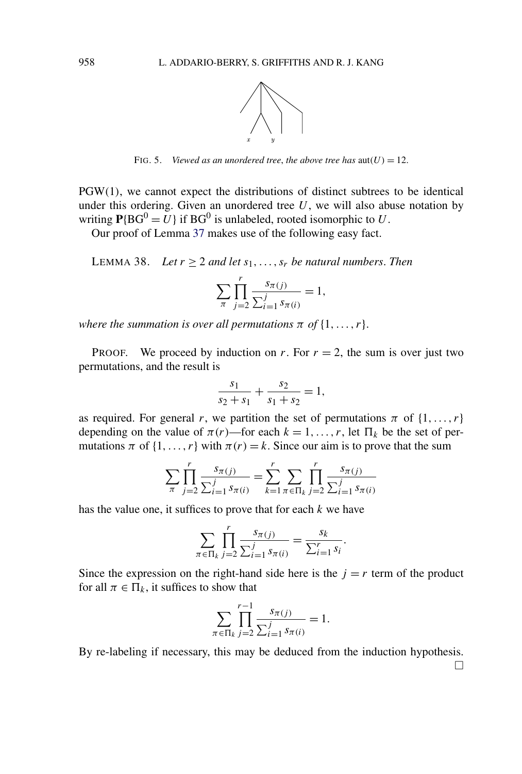

FIG. 5. *Viewed as an unordered tree, the above tree has*  $aut(U) = 12$ .

<span id="page-27-0"></span>PGW*(*1*)*, we cannot expect the distributions of distinct subtrees to be identical under this ordering. Given an unordered tree  $U$ , we will also abuse notation by writing  $P{BG^0 = U}$  if BG<sup>0</sup> is unlabeled, rooted isomorphic to *U*.

Our proof of Lemma [37](#page-26-0) makes use of the following easy fact.

LEMMA 38. *Let*  $r \geq 2$  *and let*  $s_1, \ldots, s_r$  *be natural numbers. Then* 

$$
\sum_{\pi} \prod_{j=2}^{r} \frac{s_{\pi(j)}}{\sum_{i=1}^{j} s_{\pi(i)}} = 1,
$$

*where the summation is over all permutations*  $\pi$  *of*  $\{1, \ldots, r\}$ .

**PROOF.** We proceed by induction on *r*. For  $r = 2$ , the sum is over just two permutations, and the result is

$$
\frac{s_1}{s_2 + s_1} + \frac{s_2}{s_1 + s_2} = 1,
$$

as required. For general *r*, we partition the set of permutations  $\pi$  of  $\{1, \ldots, r\}$ depending on the value of  $\pi(r)$ —for each  $k = 1, \ldots, r$ , let  $\Pi_k$  be the set of permutations  $\pi$  of  $\{1, \ldots, r\}$  with  $\pi(r) = k$ . Since our aim is to prove that the sum

$$
\sum_{\pi} \prod_{j=2}^{r} \frac{s_{\pi(j)}}{\sum_{i=1}^{j} s_{\pi(i)}} = \sum_{k=1}^{r} \sum_{\pi \in \Pi_k} \prod_{j=2}^{r} \frac{s_{\pi(j)}}{\sum_{i=1}^{j} s_{\pi(i)}}
$$

has the value one, it suffices to prove that for each *k* we have

$$
\sum_{\pi \in \Pi_k} \prod_{j=2}^r \frac{s_{\pi(j)}}{\sum_{i=1}^j s_{\pi(i)}} = \frac{s_k}{\sum_{i=1}^r s_i}.
$$

Since the expression on the right-hand side here is the  $j = r$  term of the product for all  $\pi \in \Pi_k$ , it suffices to show that

$$
\sum_{\pi \in \Pi_k} \prod_{j=2}^{r-1} \frac{s_{\pi(j)}}{\sum_{i=1}^j s_{\pi(i)}} = 1.
$$

By re-labeling if necessary, this may be deduced from the induction hypothesis.

 $\Box$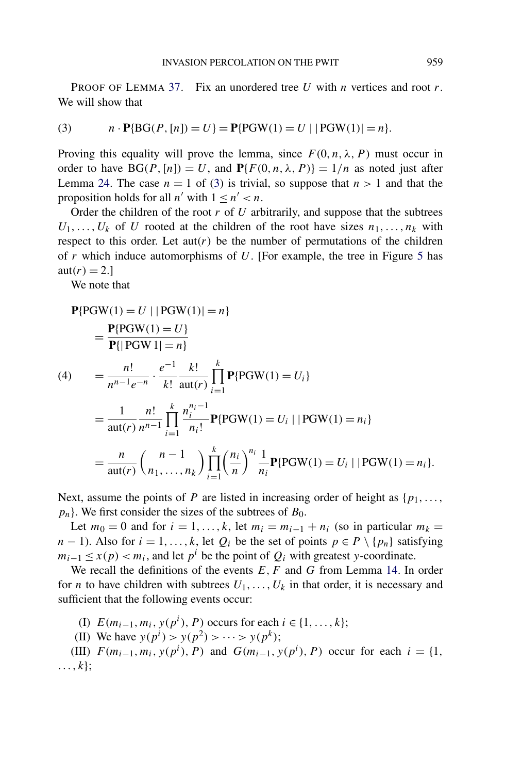<span id="page-28-0"></span>PROOF OF LEMMA [37.](#page-26-0) Fix an unordered tree *U* with *n* vertices and root *r*. We will show that

(3) 
$$
n \cdot P\{BG(P, [n]) = U\} = P\{PGW(1) = U \mid |PGW(1)| = n\}.
$$

Proving this equality will prove the lemma, since  $F(0, n, \lambda, P)$  must occur in order to have  $BG(P, [n]) = U$ , and  $P{F(0, n, \lambda, P)} = 1/n$  as noted just after Lemma [24.](#page-17-0) The case  $n = 1$  of (3) is trivial, so suppose that  $n > 1$  and that the proposition holds for all  $n'$  with  $1 \leq n' \leq n$ .

Order the children of the root *r* of *U* arbitrarily, and suppose that the subtrees  $U_1, \ldots, U_k$  of *U* rooted at the children of the root have sizes  $n_1, \ldots, n_k$  with respect to this order. Let  $aut(r)$  be the number of permutations of the children of *r* which induce automorphisms of *U*. [For example, the tree in Figure [5](#page-27-0) has  $\text{aut}(r) = 2.$ ]

We note that

$$
P\{PGW(1) = U \mid |PGW(1)| = n\}
$$
  
= 
$$
\frac{P\{PGW(1) = U\}}{P\{|PGW1| = n\}}
$$
  
(4) = 
$$
\frac{n!}{n^{n-1}e^{-n}} \cdot \frac{e^{-1}}{k!} \frac{k!}{\text{aut}(r)} \prod_{i=1}^{k} P\{PGW(1) = U_i\}
$$
  
= 
$$
\frac{1}{\text{aut}(r)} \frac{n!}{n^{n-1}} \prod_{i=1}^{k} \frac{n_i^{n_i - 1}}{n_i!} P\{PGW(1) = U_i \mid |PGW(1) = n_i\}
$$
  
= 
$$
\frac{n}{\text{aut}(r)} {n_1, ..., n_k} \prod_{i=1}^{k} \left(\frac{n_i}{n}\right)^{n_i} \frac{1}{n_i} P\{PGW(1) = U_i \mid |PGW(1) = n_i\}.
$$

Next, assume the points of *P* are listed in increasing order of height as  $\{p_1, \ldots, p_n\}$  $p_n$ . We first consider the sizes of the subtrees of  $B_0$ .

Let  $m_0 = 0$  and for  $i = 1, \ldots, k$ , let  $m_i = m_{i-1} + n_i$  (so in particular  $m_k =$ *n* − 1). Also for *i* = 1, ..., *k*, let  $Q_i$  be the set of points  $p \in P \setminus \{p_n\}$  satisfying  $m_{i-1} \leq x(p) < m_i$ , and let  $p^i$  be the point of  $Q_i$  with greatest *y*-coordinate.

We recall the definitions of the events  $E, F$  and  $G$  from Lemma [14.](#page-12-0) In order for *n* to have children with subtrees  $U_1, \ldots, U_k$  in that order, it is necessary and sufficient that the following events occur:

- (I)  $E(m_{i-1}, m_i, y(p^i), P)$  occurs for each  $i \in \{1, ..., k\};$
- (II) We have  $y(p^i) > y(p^2) > \cdots > y(p^k);$

(III)  $F(m_{i-1}, m_i, y(p^i), P)$  and  $G(m_{i-1}, y(p^i), P)$  occur for each  $i = \{1,$ *...,k*};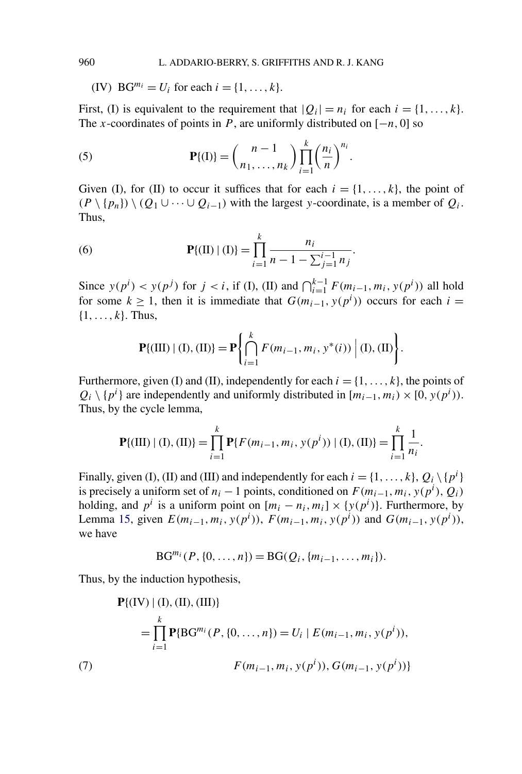(IV)  $BG^{m_i} = U_i$  for each  $i = \{1, ..., k\}.$ 

First, (I) is equivalent to the requirement that  $|Q_i| = n_i$  for each  $i = \{1, ..., k\}$ . The *x*-coordinates of points in *P*, are uniformly distributed on  $[-n, 0]$  so

(5) 
$$
\mathbf{P}\{(I)\} = \binom{n-1}{n_1,\ldots,n_k} \prod_{i=1}^k \left(\frac{n_i}{n}\right)^{n_i}.
$$

Given (I), for (II) to occur it suffices that for each  $i = \{1, \ldots, k\}$ , the point of  $(P \setminus \{p_n\}) \setminus (Q_1 \cup \cdots \cup Q_{i-1})$  with the largest *y*-coordinate, is a member of  $Q_i$ . Thus,

(6) 
$$
\mathbf{P}\{(\text{II}) \mid (\text{I})\} = \prod_{i=1}^{k} \frac{n_i}{n-1 - \sum_{j=1}^{i-1} n_j}.
$$

Since  $y(p^i) < y(p^j)$  for  $j < i$ , if (I), (II) and  $\bigcap_{i=1}^{k-1} F(m_{i-1}, m_i, y(p^i))$  all hold for some  $k \geq 1$ , then it is immediate that  $G(m_{i-1}, y(p^i))$  occurs for each  $i =$ {1*,...,k*}. Thus,

$$
\mathbf{P}\{(\text{III}) \mid (\text{I}), (\text{II})\} = \mathbf{P} \left\{ \bigcap_{i=1}^{k} F(m_{i-1}, m_i, y^*(i)) \mid (\text{I}), (\text{II}) \right\}.
$$

Furthermore, given (I) and (II), independently for each  $i = \{1, \ldots, k\}$ , the points of  $Q_i \setminus \{p^i\}$  are independently and uniformly distributed in  $[m_{i-1}, m_i) \times [0, y(p^i))$ . Thus, by the cycle lemma,

$$
\mathbf{P}\{(\text{III}) \mid (\text{I}), (\text{II})\} = \prod_{i=1}^{k} \mathbf{P}\{F(m_{i-1}, m_i, y(p^i)) \mid (\text{I}), (\text{II})\} = \prod_{i=1}^{k} \frac{1}{n_i}.
$$

Finally, given (I), (II) and (III) and independently for each  $i = \{1, ..., k\}$ ,  $Q_i \setminus \{p^i\}$ is precisely a uniform set of  $n_i - 1$  points, conditioned on  $F(m_{i-1}, m_i, y(p^i), Q_i)$ holding, and  $p^i$  is a uniform point on  $[m_i - n_i, m_i] \times \{y(p^i)\}\)$ . Furthermore, by Lemma [15,](#page-12-0) given  $E(m_{i-1}, m_i, y(p^i))$ ,  $F(m_{i-1}, m_i, y(p^i))$  and  $G(m_{i-1}, y(p^i))$ , we have

$$
BG^{m_i}(P, \{0, \ldots, n\}) = BG(Q_i, \{m_{i-1}, \ldots, m_i\}).
$$

Thus, by the induction hypothesis,

$$
\mathbf{P}\{(\text{IV}) \mid (\text{I}), (\text{II}), (\text{III})\}
$$
\n
$$
= \prod_{i=1}^{k} \mathbf{P}\{\text{BG}^{m_i}(P, \{0, \dots, n\}) = U_i \mid E(m_{i-1}, m_i, y(p^i)),
$$
\n
$$
F(m_{i-1}, m_i, y(p^i)), G(m_{i-1}, y(p^i))\}
$$

<span id="page-29-0"></span>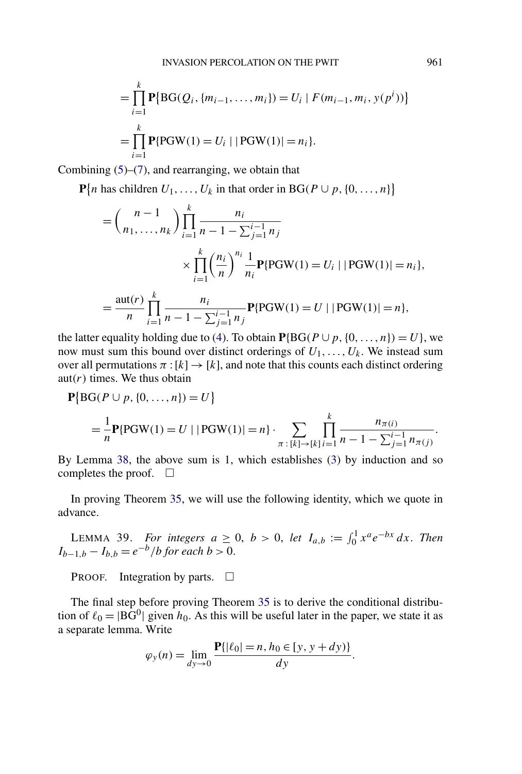<span id="page-30-0"></span>
$$
= \prod_{i=1}^{k} \mathbf{P} \{ \text{BG}(Q_i, \{m_{i-1}, \dots, m_i\}) = U_i \mid F(m_{i-1}, m_i, y(p^i)) \}
$$

$$
= \prod_{i=1}^{k} \mathbf{P} \{ \text{PGW}(1) = U_i \mid |\text{PGW}(1)| = n_i \}.
$$

Combining  $(5)$ – $(7)$ , and rearranging, we obtain that

**P**{*n* has children  $U_1, \ldots, U_k$  in that order in BG( $P \cup p$ , {0, ..., *n*}}

$$
= {n-1 \choose n_1, ..., n_k} \prod_{i=1}^k \frac{n_i}{n-1 - \sum_{j=1}^{i-1} n_j}
$$
  
 
$$
\times \prod_{i=1}^k \left(\frac{n_i}{n}\right)^{n_i} \frac{1}{n_i} \mathbf{P} \{ \text{PGW}(1) = U_i \mid |\text{PGW}(1)| = n_i \},
$$
  

$$
= \frac{\text{aut}(r)}{n} \prod_{i=1}^k \frac{n_i}{n-1 - \sum_{j=1}^{i-1} n_j} \mathbf{P} \{ \text{PGW}(1) = U \mid |\text{PGW}(1)| = n \},
$$

the latter equality holding due to [\(4\)](#page-28-0). To obtain  $P{BG(P \cup p, \{0, ..., n\}) = U}$ , we now must sum this bound over distinct orderings of *U*1*,...,Uk*. We instead sum over all permutations  $\pi : [k] \rightarrow [k]$ , and note that this counts each distinct ordering aut $(r)$  times. We thus obtain

$$
\mathbf{P}\{\text{BG}(P \cup p, \{0, ..., n\}) = U\}
$$
  
=  $\frac{1}{n}\mathbf{P}\{\text{PGW}(1) = U \mid |\text{PGW}(1)| = n\} \cdot \sum_{\pi : [k] \to [k]}\prod_{i=1}^{k} \frac{n_{\pi(i)}}{n-1-\sum_{j=1}^{i-1} n_{\pi(j)}}.$ 

By Lemma [38,](#page-27-0) the above sum is 1, which establishes [\(3\)](#page-28-0) by induction and so completes the proof.  $\Box$ 

In proving Theorem [35,](#page-25-0) we will use the following identity, which we quote in advance.

LEMMA 39. *For integers*  $a \geq 0$ ,  $b > 0$ , *let*  $I_{a,b} := \int_0^1 x^a e^{-bx} dx$ . *Then I*<sub>*b*−1*,b*</sub> − *I*<sub>*b,b*</sub> =  $e^{-b}/b$  *for each b* > 0.

PROOF. Integration by parts.  $\Box$ 

The final step before proving Theorem [35](#page-25-0) is to derive the conditional distribution of  $\ell_0 = |BG^0|$  given  $h_0$ . As this will be useful later in the paper, we state it as a separate lemma. Write

$$
\varphi_{y}(n) = \lim_{dy \to 0} \frac{\mathbf{P}\{|\ell_{0}| = n, h_{0} \in [y, y + dy)\}}{dy}.
$$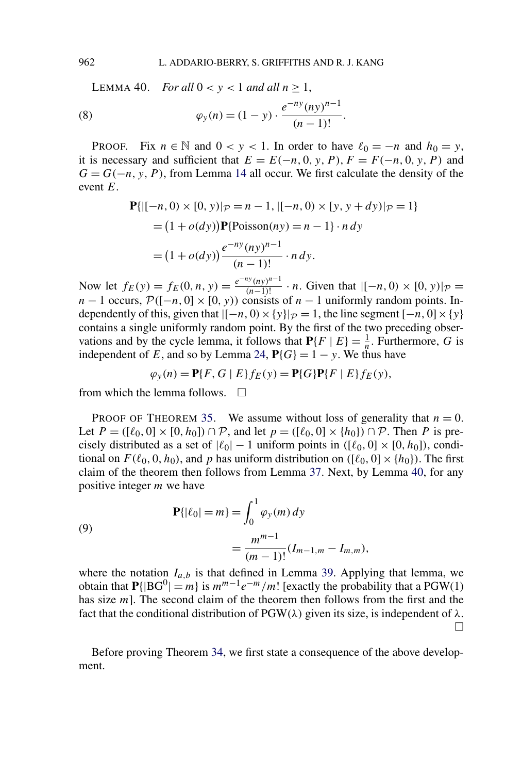<span id="page-31-0"></span>LEMMA 40. *For all*  $0 < y < 1$  *and all*  $n \ge 1$ ,

(8) 
$$
\varphi_{y}(n) = (1 - y) \cdot \frac{e^{-ny} (ny)^{n-1}}{(n-1)!}.
$$

PROOF. Fix  $n \in \mathbb{N}$  and  $0 < y < 1$ . In order to have  $\ell_0 = -n$  and  $h_0 = y$ , it is necessary and sufficient that  $E = E(-n, 0, y, P)$ ,  $F = F(-n, 0, y, P)$  and  $G = G(-n, y, P)$ , from Lemma [14](#page-12-0) all occur. We first calculate the density of the event *E*.

$$
\begin{aligned} \mathbf{P}\{ |[-n, 0) \times [0, y]|_{\mathcal{P}} = n - 1, |[-n, 0) \times [y, y + dy]|_{\mathcal{P}} = 1 \} \\ &= (1 + o(dy))\mathbf{P}\{\text{Poisson}(ny) = n - 1\} \cdot n \, dy \\ &= (1 + o(dy))\frac{e^{-ny}(ny)^{n-1}}{(n-1)!} \cdot n \, dy. \end{aligned}
$$

Now let  $f_E(y) = f_E(0, n, y) = \frac{e^{-ny} (ny)^{n-1}}{(n-1)!} \cdot n$ . Given that  $|[-n, 0) \times [0, y]|_{\mathcal{P}} =$  $n-1$  occurs,  $\mathcal{P}([-n,0] \times [0, y))$  consists of  $n-1$  uniformly random points. Independently of this, given that  $|[-n, 0) \times \{y\}|_{\mathcal{P}} = 1$ , the line segment  $[-n, 0] \times \{y\}$ contains a single uniformly random point. By the first of the two preceding observations and by the cycle lemma, it follows that  $P{F | E} = \frac{1}{n}$ . Furthermore, *G* is independent of *E*, and so by Lemma [24,](#page-17-0)  $P\{G\} = 1 - y$ . We thus have

$$
\varphi_y(n) = \mathbf{P}\{F, G \mid E\} f_E(y) = \mathbf{P}\{G\} \mathbf{P}\{F \mid E\} f_E(y),
$$

from which the lemma follows.  $\Box$ 

PROOF OF THEOREM [35.](#page-25-0) We assume without loss of generality that  $n = 0$ . Let  $P = (\lbrack \ell_0, 0 \rbrack \times \lbrack 0, h_0 \rbrack) \cap P$ , and let  $p = (\lbrack \ell_0, 0 \rbrack \times \lbrack h_0 \rbrack) \cap P$ . Then P is precisely distributed as a set of  $|\ell_0| - 1$  uniform points in  $([\ell_0, 0] \times [0, h_0])$ , conditional on  $F(\ell_0, 0, h_0)$ , and p has uniform distribution on  $([\ell_0, 0] \times \{h_0\})$ . The first claim of the theorem then follows from Lemma [37.](#page-26-0) Next, by Lemma 40, for any positive integer *m* we have

$$
\mathbf{P}\{|\ell_0| = m\} = \int_0^1 \varphi_y(m) \, dy
$$

$$
= \frac{m^{m-1}}{(m-1)!} (I_{m-1,m} - I_{m,m}),
$$

where the notation  $I_{a,b}$  is that defined in Lemma [39.](#page-30-0) Applying that lemma, we obtain that  $P\{ | BG^0| = m \}$  is  $m^{m-1}e^{-m}/m!$  [exactly the probability that a PGW(1) has size *m*]. The second claim of the theorem then follows from the first and the fact that the conditional distribution of  $PGW(\lambda)$  given its size, is independent of  $\lambda$ .  $\Box$ 

Before proving Theorem [34,](#page-25-0) we first state a consequence of the above development.

(9)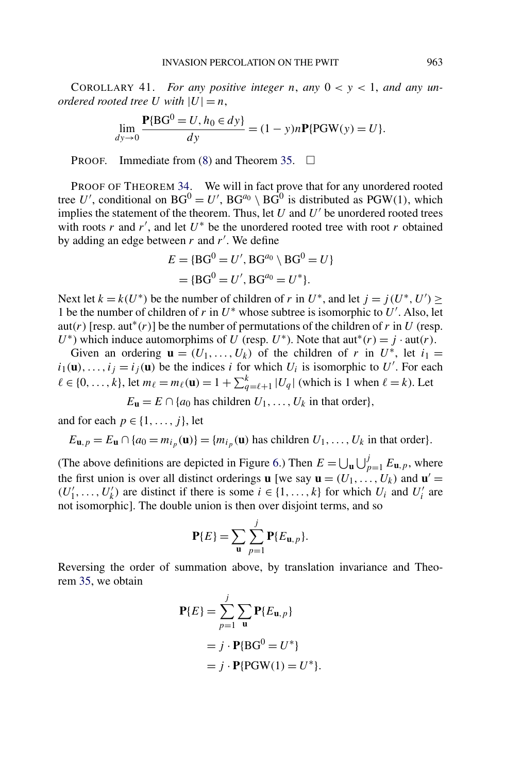COROLLARY 41. *For any positive integer n, any*  $0 < y < 1$ *, and any unordered rooted tree U with*  $|U| = n$ ,

$$
\lim_{dy \to 0} \frac{\mathbf{P}{B G^0 = U, h_0 \in dy}}{dy} = (1 - y)n\mathbf{P}{PGW(y) = U}.
$$

PROOF. Immediate from  $(8)$  and Theorem [35.](#page-25-0)  $\Box$ 

PROOF OF THEOREM [34.](#page-25-0) We will in fact prove that for any unordered rooted tree U', conditional on  $BG^0 = U'$ ,  $BG^{a_0} \setminus BG^0$  is distributed as  $PGW(1)$ , which implies the statement of the theorem. Thus, let  $U$  and  $U'$  be unordered rooted trees with roots *r* and *r'*, and let  $U^*$  be the unordered rooted tree with root *r* obtained by adding an edge between *r* and *r* . We define

$$
E = {BG0 = U', BGa0 \setminus BG0 = U}
$$
  
= {BG<sup>0</sup> = U', BG<sup>a<sub>0</sub></sup> = U<sup>\*</sup>}.

Next let  $k = k(U^*)$  be the number of children of *r* in  $U^*$ , and let  $j = j(U^*, U') \ge$ 1 be the number of children of  $r$  in  $U^*$  whose subtree is isomorphic to  $U'$ . Also, let aut(*r*) [resp. aut<sup>\*</sup>(*r*)] be the number of permutations of the children of *r* in *U* (resp. *U*<sup>\*</sup>) which induce automorphims of *U* (resp. *U*<sup>\*</sup>). Note that aut<sup>\*</sup>(*r*) = *j* · aut(*r*).

Given an ordering  $\mathbf{u} = (U_1, \ldots, U_k)$  of the children of *r* in  $U^*$ , let  $i_1 =$  $i_1(\mathbf{u}),...,i_j=i_j(\mathbf{u})$  be the indices *i* for which  $U_i$  is isomorphic to  $U'$ . For each  $\ell \in \{0, ..., k\}$ , let  $m_{\ell} = m_{\ell}(\mathbf{u}) = 1 + \sum_{q=\ell+1}^{k} |U_q|$  (which is 1 when  $\ell = k$ ). Let

$$
E_{\mathbf{u}} = E \cap \{a_0 \text{ has children } U_1, \ldots, U_k \text{ in that order}\},\
$$

and for each  $p \in \{1, \ldots, j\}$ , let

$$
E_{\mathbf{u},p} = E_{\mathbf{u}} \cap \{a_0 = m_{i_p}(\mathbf{u})\} = \{m_{i_p}(\mathbf{u}) \text{ has children } U_1, \dots, U_k \text{ in that order}\}.
$$

(The above definitions are depicted in Figure [6.](#page-33-0)) Then  $E = \bigcup_{\mathbf{u}} \bigcup_{p=1}^{j} E_{\mathbf{u},p}$ , where the first union is over all distinct orderings **u** [we say  $\mathbf{u} = (U_1, \ldots, U_k)$  and  $\mathbf{u}' =$  $(U'_1, \ldots, U'_k)$  are distinct if there is some  $i \in \{1, \ldots, k\}$  for which  $U_i$  and  $U'_i$  are not isomorphic]. The double union is then over disjoint terms, and so

$$
\mathbf{P}\{E\} = \sum_{\mathbf{u}} \sum_{p=1}^{j} \mathbf{P}\{E_{\mathbf{u},p}\}.
$$

Reversing the order of summation above, by translation invariance and Theorem [35,](#page-25-0) we obtain

$$
\mathbf{P}{E} = \sum_{p=1}^{j} \sum_{\mathbf{u}} \mathbf{P}{E_{\mathbf{u},p}}
$$
  
=  $j \cdot \mathbf{P}{B}G^0 = U^*$   
=  $j \cdot \mathbf{P}{P}GW(1) = U^*.$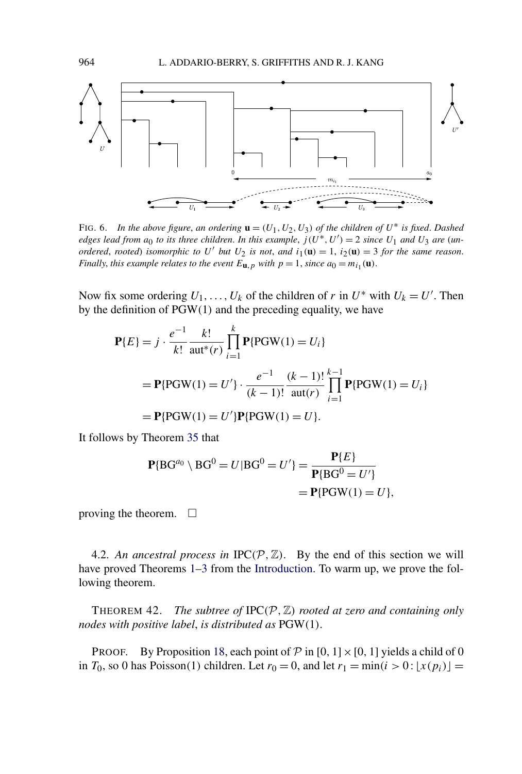<span id="page-33-0"></span>

FIG. 6. *In the above figure, an ordering*  $\mathbf{u} = (U_1, U_2, U_3)$  *of the children of*  $U^*$  *is fixed. Dashed edges lead from*  $a_0$  *to its three children. In this example,*  $j(U^*, U') = 2$  *since*  $U_1$  *and*  $U_3$  *are (unordered, rooted) isomorphic to*  $U'$  *but*  $U_2$  *is not, and*  $i_1(\mathbf{u}) = 1$ ,  $i_2(\mathbf{u}) = 3$  *for the same reason. Finally, this example relates to the event*  $E_{\mathbf{u},p}$  *with*  $p = 1$ *, since*  $a_0 = m_{i_1}(\mathbf{u})$ *.* 

Now fix some ordering  $U_1, \ldots, U_k$  of the children of *r* in  $U^*$  with  $U_k = U'$ . Then by the definition of PGW*(*1*)* and the preceding equality, we have

$$
\mathbf{P}{E} = j \cdot \frac{e^{-1}}{k!} \frac{k!}{\text{aut}^*(r)} \prod_{i=1}^k \mathbf{P}{\text{PGW}(1)} = U_i
$$
  
=  $\mathbf{P}{\text{PGW}(1)} = U'$   $\cdot \frac{e^{-1}}{(k-1)!} \frac{(k-1)!}{\text{aut}(r)} \prod_{i=1}^{k-1} \mathbf{P}{\text{PGW}(1)} = U_i$   
=  $\mathbf{P}{\text{PGW}(1)} = U'$   $\mathbf{P}{\text{PGW}(1)} = U}$ 

It follows by Theorem [35](#page-25-0) that

$$
\begin{aligned} \mathbf{P} \{ \text{BG}^{a_0} \setminus \text{BG}^0 = U | \text{BG}^0 = U' \} &= \frac{\mathbf{P} \{ E \}}{\mathbf{P} \{ \text{BG}^0 = U' \}} \\ &= \mathbf{P} \{ \text{PGW}(1) = U \}, \end{aligned}
$$

proving the theorem.  $\Box$ 

4.2. An ancestral process in  $IPC(P, \mathbb{Z})$ . By the end of this section we will have proved Theorems [1–](#page-3-0)[3](#page-4-0) from the [Introduction.](#page-0-0) To warm up, we prove the following theorem.

**THEOREM 42.** *The subtree of*  $IPC(P, \mathbb{Z})$  *rooted at zero and containing only nodes with positive label*, *is distributed as* PGW*(*1*)*.

PROOF. By Proposition [18,](#page-14-0) each point of  $P$  in [0, 1] × [0, 1] yields a child of 0 in  $T_0$ , so 0 has Poisson(1) children. Let  $r_0 = 0$ , and let  $r_1 = \min(i > 0 : [x(p_i)] =$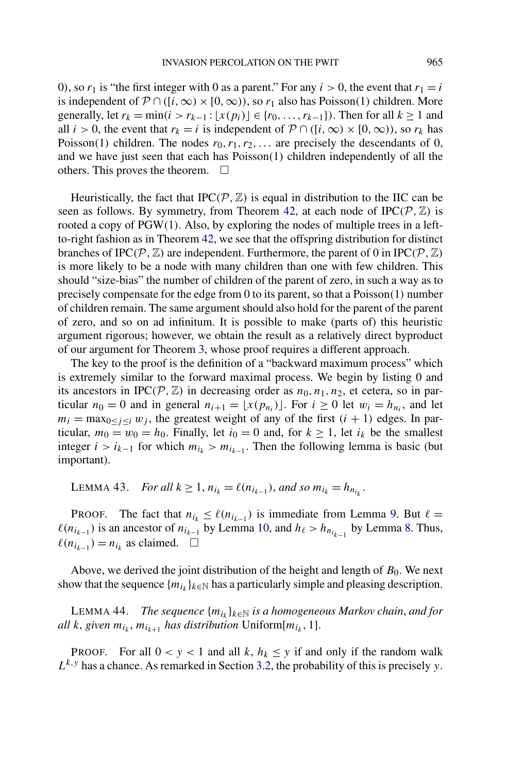<span id="page-34-0"></span>0), so  $r_1$  is "the first integer with 0 as a parent." For any  $i > 0$ , the event that  $r_1 = i$ is independent of  $\mathcal{P} \cap ([i, \infty) \times [0, \infty))$ , so  $r_1$  also has Poisson(1) children. More generally, let  $r_k = \min(i > r_{k-1} : [x(p_i)] \in \{r_0, ..., r_{k-1}\})$ . Then for all  $k \ge 1$  and all *i* > 0, the event that  $r_k = i$  is independent of  $P \cap ([i, \infty) \times [0, \infty))$ , so  $r_k$  has Poisson(1) children. The nodes  $r_0, r_1, r_2, \ldots$  are precisely the descendants of 0, and we have just seen that each has Poisson*(*1*)* children independently of all the others. This proves the theorem.  $\Box$ 

Heuristically, the fact that IPC $(P, \mathbb{Z})$  is equal in distribution to the IIC can be seen as follows. By symmetry, from Theorem [42,](#page-33-0) at each node of  $IPC(P, \mathbb{Z})$  is rooted a copy of PGW*(*1*)*. Also, by exploring the nodes of multiple trees in a leftto-right fashion as in Theorem [42,](#page-33-0) we see that the offspring distribution for distinct branches of IPC( $P$ ,  $\mathbb{Z}$ ) are independent. Furthermore, the parent of 0 in IPC( $P$ ,  $\mathbb{Z}$ ) is more likely to be a node with many children than one with few children. This should "size-bias" the number of children of the parent of zero, in such a way as to precisely compensate for the edge from 0 to its parent, so that a Poisson*(*1*)* number of children remain. The same argument should also hold for the parent of the parent of zero, and so on ad infinitum. It is possible to make (parts of) this heuristic argument rigorous; however, we obtain the result as a relatively direct byproduct of our argument for Theorem [3,](#page-4-0) whose proof requires a different approach.

The key to the proof is the definition of a "backward maximum process" which is extremely similar to the forward maximal process. We begin by listing 0 and its ancestors in IPC( $P$ ,  $\mathbb{Z}$ ) in decreasing order as  $n_0, n_1, n_2$ , et cetera, so in particular  $n_0 = 0$  and in general  $n_{i+1} = \lfloor x(p_{n_i}) \rfloor$ . For  $i \ge 0$  let  $w_i = h_{n_i}$ , and let  $m_i = \max_{0 \leq j \leq i} w_j$ , the greatest weight of any of the first  $(i + 1)$  edges. In particular,  $m_0 = w_0 = h_0$ . Finally, let  $i_0 = 0$  and, for  $k \ge 1$ , let  $i_k$  be the smallest integer *i* >  $i_{k-1}$  for which  $m_{i_k}$  >  $m_{i_{k-1}}$ . Then the following lemma is basic (but important).

LEMMA 43. *For all*  $k \ge 1$ ,  $n_{i_k} = \ell(n_{i_{k-1}})$ , and so  $m_{i_k} = h_{n_{i_k}}$ .

PROOF. The fact that  $n_{i_k} \leq \ell(n_{i_{k-1}})$  is immediate from Lemma [9.](#page-9-0) But  $\ell =$  $\ell(n_{i_{k-1}})$  is an ancestor of  $n_{i_{k-1}}$  by Lemma [10,](#page-10-0) and  $h_\ell > h_{n_{i_{k-1}}}$  by Lemma [8.](#page-9-0) Thus,  $\ell(n_{i_{k-1}}) = n_{i_k}$  as claimed.  $□$ 

Above, we derived the joint distribution of the height and length of *B*0. We next show that the sequence  $\{m_{i_k}\}_{k\in\mathbb{N}}$  has a particularly simple and pleasing description.

LEMMA 44. *The sequence*  $\{m_{i_k}\}_{k\in\mathbb{N}}$  *is a homogeneous Markov chain, and for all k*, *given*  $m_{i_k}$ ,  $m_{i_{k+1}}$  *has distribution* Uniform[ $m_{i_k}$ , 1].

PROOF. For all  $0 < y < 1$  and all *k*,  $h_k \leq y$  if and only if the random walk  $L^{k,y}$  has a chance. As remarked in Section [3.2,](#page-18-0) the probability of this is precisely *y*.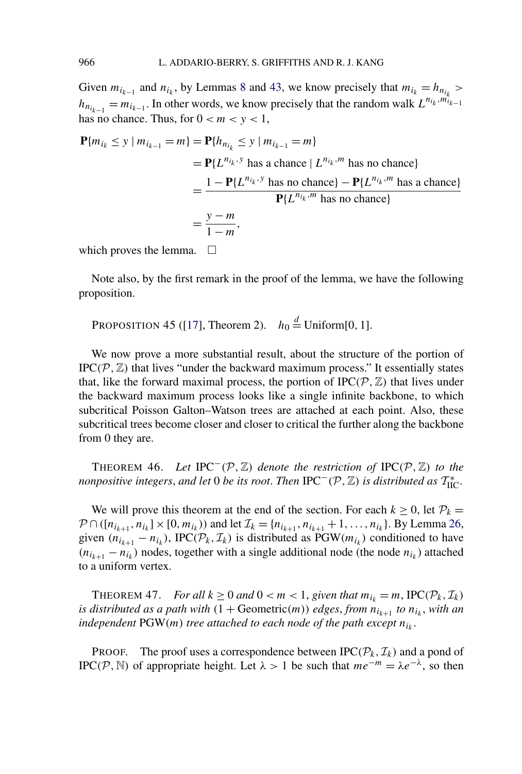<span id="page-35-0"></span>Given  $m_{i_{k-1}}$  and  $n_{i_k}$ , by Lemmas [8](#page-9-0) and [43,](#page-34-0) we know precisely that  $m_{i_k} = h_{n_{i_k}} >$  $h_{n_{i_{k-1}}} = m_{i_{k-1}}$ . In other words, we know precisely that the random walk  $L^{n_{i_k}, m_{i_{k-1}}}$ has no chance. Thus, for  $0 < m < y < 1$ ,

$$
\begin{aligned} \mathbf{P}\{m_{i_k} \le y \mid m_{i_{k-1}} = m\} &= \mathbf{P}\{h_{n_{i_k}} \le y \mid m_{i_{k-1}} = m\} \\ &= \mathbf{P}\{L^{n_{i_k}, y} \text{ has a chance} \mid L^{n_{i_k}, m} \text{ has no chance} \} \\ &= \frac{1 - \mathbf{P}\{L^{n_{i_k}, y} \text{ has no chance} \} - \mathbf{P}\{L^{n_{i_k}, m} \text{ has a chance} \}}{\mathbf{P}\{L^{n_{i_k}, m} \text{ has no chance} \}} \\ &= \frac{y - m}{1 - m}, \end{aligned}
$$

which proves the lemma.  $\Box$ 

Note also, by the first remark in the proof of the lemma, we have the following proposition.

PROPOSITION 45 ([\[17\]](#page-38-0), Theorem 2).  $h_0 \stackrel{d}{=}$  Uniform[0, 1].

We now prove a more substantial result, about the structure of the portion of IPC $(P, \mathbb{Z})$  that lives "under the backward maximum process." It essentially states that, like the forward maximal process, the portion of  $IPC(P, \mathbb{Z})$  that lives under the backward maximum process looks like a single infinite backbone, to which subcritical Poisson Galton–Watson trees are attached at each point. Also, these subcritical trees become closer and closer to critical the further along the backbone from 0 they are.

THEOREM 46. *Let* IPC−*(*P*,*Z*) denote the restriction of* IPC*(*P*,*Z*) to the nonpositive integers, and let* 0 *be its root. Then*  $\text{IPC}^-(\mathcal{P}, \mathbb{Z})$  *is distributed as*  $\mathcal{T}_{\text{HC}}^*$ .

We will prove this theorem at the end of the section. For each  $k \geq 0$ , let  $P_k =$  $P \cap ([n_{i_{k+1}}, n_{i_k}] \times [0, m_{i_k}))$  and let  $\mathcal{I}_k = \{n_{i_{k+1}}, n_{i_{k+1}} + 1, \ldots, n_{i_k}\}$ . By Lemma [26,](#page-19-0) given  $(n_{i_{k+1}} - n_{i_k})$ , IPC $(\mathcal{P}_k, \mathcal{I}_k)$  is distributed as PGW $(m_{i_k})$  conditioned to have  $(n_{i_{k+1}} - n_{i_k})$  nodes, together with a single additional node (the node  $n_{i_k}$ ) attached to a uniform vertex.

THEOREM 47. *For all*  $k \geq 0$  *and*  $0 < m < 1$ , *given that*  $m_{i_k} = m$ ,  $\text{IPC}(\mathcal{P}_k, \mathcal{I}_k)$ *is distributed as a path with*  $(1 + \text{Geometric}(m))$  *edges, from*  $n_{i_{k+1}}$  *to*  $n_{i_k}$ *, with an independent*  $PGW(m)$  *tree attached to each node of the path except*  $n_{i_k}$ .

PROOF. The proof uses a correspondence between  $\text{IPC}(\mathcal{P}_k, \mathcal{I}_k)$  and a pond of IPC(P, N) of appropriate height. Let  $\lambda > 1$  be such that  $me^{-m} = \lambda e^{-\lambda}$ , so then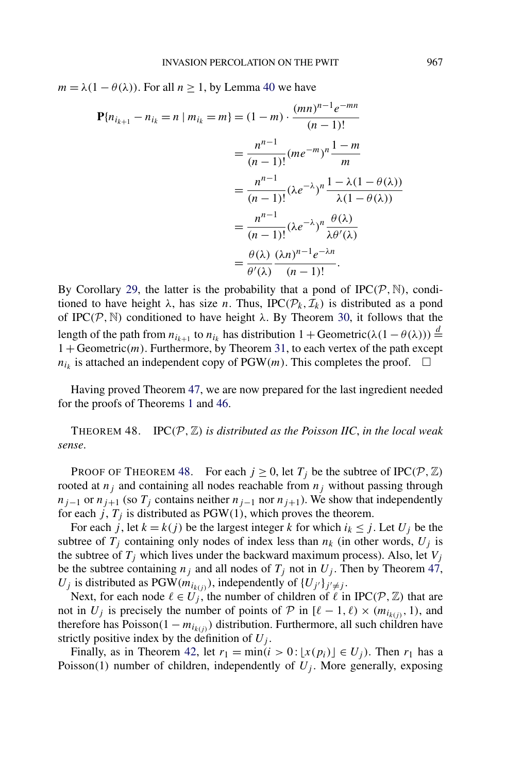<span id="page-36-0"></span> $m = \lambda(1 - \theta(\lambda))$ . For all  $n \ge 1$ , by Lemma [40](#page-31-0) we have

$$
\mathbf{P}\{n_{i_{k+1}} - n_{i_k} = n \mid m_{i_k} = m\} = (1 - m) \cdot \frac{(mn)^{n-1}e^{-mn}}{(n-1)!}
$$

$$
= \frac{n^{n-1}}{(n-1)!} (me^{-m})^n \frac{1-m}{m}
$$

$$
= \frac{n^{n-1}}{(n-1)!} (\lambda e^{-\lambda})^n \frac{1-\lambda(1-\theta(\lambda))}{\lambda(1-\theta(\lambda))}
$$

$$
= \frac{n^{n-1}}{(n-1)!} (\lambda e^{-\lambda})^n \frac{\theta(\lambda)}{\lambda \theta'(\lambda)}
$$

$$
= \frac{\theta(\lambda)}{\theta'(\lambda)} \frac{(\lambda n)^{n-1}e^{-\lambda n}}{(n-1)!}.
$$

By Corollary [29,](#page-21-0) the latter is the probability that a pond of  $IPC(P, \mathbb{N})$ , conditioned to have height  $\lambda$ , has size *n*. Thus, IPC( $\mathcal{P}_k$ ,  $\mathcal{I}_k$ ) is distributed as a pond of IPC $(P, N)$  conditioned to have height  $\lambda$ . By Theorem [30,](#page-22-0) it follows that the length of the path from  $n_{i_{k+1}}$  to  $n_{i_k}$  has distribution  $1 + \text{Geometric}(\lambda(1 - \theta(\lambda))) \stackrel{d}{=}$ 1 + Geometric*(m)*. Furthermore, by Theorem [31,](#page-22-0) to each vertex of the path except  $n_{i_k}$  is attached an independent copy of PGW*(m)*. This completes the proof.  $\Box$ 

Having proved Theorem [47,](#page-35-0) we are now prepared for the last ingredient needed for the proofs of Theorems [1](#page-3-0) and [46.](#page-35-0)

THEOREM 48. IPC $(P, \mathbb{Z})$  *is distributed as the Poisson IIC, in the local weak sense*.

PROOF OF THEOREM 48. For each  $j \ge 0$ , let  $T_j$  be the subtree of IPC( $P$ ,  $\mathbb{Z}$ ) rooted at  $n_j$  and containing all nodes reachable from  $n_j$  without passing through  $n_{j-1}$  or  $n_{j+1}$  (so  $T_j$  contains neither  $n_{j-1}$  nor  $n_{j+1}$ ). We show that independently for each *j*,  $T_i$  is distributed as PGW(1), which proves the theorem.

For each *j*, let  $k = k(j)$  be the largest integer k for which  $i_k \leq j$ . Let  $U_j$  be the subtree of  $T_j$  containing only nodes of index less than  $n_k$  (in other words,  $U_j$  is the subtree of  $T_j$  which lives under the backward maximum process). Also, let  $V_j$ be the subtree containing  $n_j$  and all nodes of  $T_j$  not in  $U_j$ . Then by Theorem [47,](#page-35-0)  $U_j$  is distributed as PGW( $m_{i_{k(j)}}$ ), independently of  $\{U_{j'}\}_{j' \neq j}$ .

Next, for each node  $\ell \in U_j$ , the number of children of  $\ell$  in IPC( $\mathcal{P}, \mathbb{Z}$ ) that are not in  $U_i$  is precisely the number of points of  $P$  in  $[\ell - 1, \ell) \times (m_{i_{k(i)}}, 1)$ , and therefore has Poisson $(1 - m_{i_{k(i)}})$  distribution. Furthermore, all such children have strictly positive index by the definition of  $U_i$ .

Finally, as in Theorem [42,](#page-33-0) let  $r_1 = \min(i > 0 : [x(p_i)] \in U_i)$ . Then  $r_1$  has a Poisson(1) number of children, independently of  $U_i$ . More generally, exposing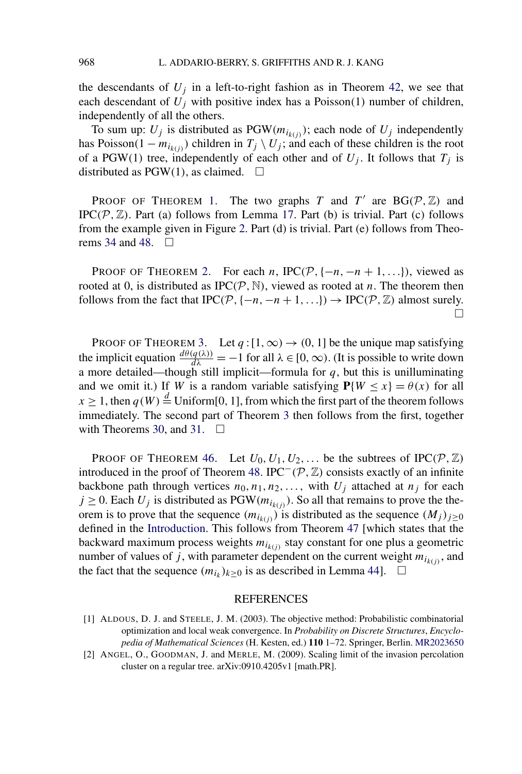<span id="page-37-0"></span>the descendants of  $U_i$  in a left-to-right fashion as in Theorem [42,](#page-33-0) we see that each descendant of  $U_j$  with positive index has a Poisson(1) number of children, independently of all the others.

To sum up:  $U_j$  is distributed as PGW $(m_{i_{k(j)}})$ ; each node of  $U_j$  independently has Poisson $(1 - m_{i_{k(i)}})$  children in  $T_j \setminus U_j$ ; and each of these children is the root of a PGW(1) tree, independently of each other and of  $U_j$ . It follows that  $T_j$  is distributed as  $PGW(1)$ , as claimed.  $\square$ 

PROOF OF THEOREM [1.](#page-3-0) The two graphs *T* and *T'* are  $BG(\mathcal{P}, \mathbb{Z})$  and IPC $(P, \mathbb{Z})$ . Part (a) follows from Lemma [17.](#page-13-0) Part (b) is trivial. Part (c) follows from the example given in Figure [2.](#page-13-0) Part (d) is trivial. Part (e) follows from Theo-rems [34](#page-25-0) and [48.](#page-36-0)  $\Box$ 

PROOF OF THEOREM [2.](#page-4-0) For each *n*, IPC( $P$ , { $-n$ ,  $-n+1$ , ...}), viewed as rooted at 0, is distributed as  $IPC(P, \mathbb{N})$ , viewed as rooted at *n*. The theorem then follows from the fact that  $IPC(P, \{-n, -n+1, ...\}) \rightarrow IPC(P, \mathbb{Z})$  almost surely.  $\Box$ 

PROOF OF THEOREM [3.](#page-4-0) Let  $q:[1,\infty) \to (0,1]$  be the unique map satisfying the implicit equation  $\frac{d\theta(q(\lambda))}{d\lambda} = -1$  for all  $\lambda \in [0, \infty)$ . (It is possible to write down a more detailed—though still implicit—formula for  $q$ , but this is unilluminating and we omit it.) If *W* is a random variable satisfying  $P{W \le x} = \theta(x)$  for all  $x \ge 1$ , then  $q(W) \stackrel{d}{=}$  Uniform[0, 1], from which the first part of the theorem follows immediately. The second part of Theorem [3](#page-4-0) then follows from the first, together with Theorems [30,](#page-22-0) and [31.](#page-22-0)  $\square$ 

PROOF OF THEOREM [46.](#page-35-0) Let  $U_0, U_1, U_2, \ldots$  be the subtrees of IPC( $P, \mathbb{Z}$ ) introduced in the proof of Theorem [48.](#page-36-0) IPC<sup> $-$ </sup>( $\mathcal{P}, \mathbb{Z}$ ) consists exactly of an infinite backbone path through vertices  $n_0, n_1, n_2, \ldots$ , with  $U_j$  attached at  $n_j$  for each  $j \geq 0$ . Each  $U_j$  is distributed as PGW $(m_{i_{k(j)}})$ . So all that remains to prove the theorem is to prove that the sequence  $(m_{i_{k(j)}})$  is distributed as the sequence  $(M_j)_{j\geq 0}$ defined in the [Introduction.](#page-0-0) This follows from Theorem [47](#page-35-0) [which states that the backward maximum process weights  $m_{i_{k(j)}}$  stay constant for one plus a geometric number of values of *j*, with parameter dependent on the current weight  $m_{i_{k(i)}}$ , and the fact that the sequence  $(m_{i_k})_{k\geq 0}$  is as described in Lemma [44\]](#page-34-0).  $\Box$ 

## REFERENCES

<sup>[1]</sup> ALDOUS, D. J. and STEELE, J. M. (2003). The objective method: Probabilistic combinatorial optimization and local weak convergence. In *Probability on Discrete Structures*, *Encyclopedia of Mathematical Sciences* (H. Kesten, ed.) **110** 1–72. Springer, Berlin. [MR2023650](http://www.ams.org/mathscinet-getitem?mr=2023650)

<sup>[2]</sup> ANGEL, O., GOODMAN, J. and MERLE, M. (2009). Scaling limit of the invasion percolation cluster on a regular tree. arXiv:0910.4205v1 [math.PR].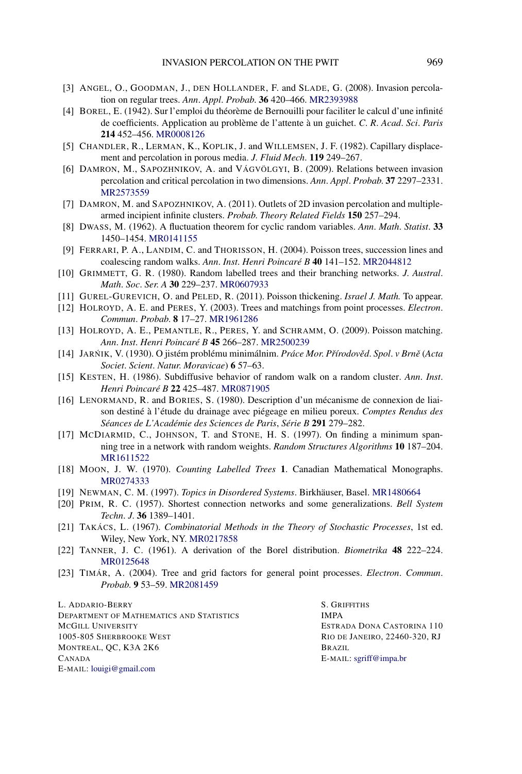- <span id="page-38-0"></span>[3] ANGEL, O., GOODMAN, J., DEN HOLLANDER, F. and SLADE, G. (2008). Invasion percolation on regular trees. *Ann*. *Appl*. *Probab*. **36** 420–466. [MR2393988](http://www.ams.org/mathscinet-getitem?mr=2393988)
- [4] BOREL, E. (1942). Sur l'emploi du théorème de Bernouilli pour faciliter le calcul d'une infinité de coefficients. Application au problème de l'attente à un guichet. *C*. *R*. *Acad*. *Sci*. *Paris* **214** 452–456. [MR0008126](http://www.ams.org/mathscinet-getitem?mr=0008126)
- [5] CHANDLER, R., LERMAN, K., KOPLIK, J. and WILLEMSEN, J. F. (1982). Capillary displacement and percolation in porous media. *J*. *Fluid Mech*. **119** 249–267.
- [6] DAMRON, M., SAPOZHNIKOV, A. and VÁGVÖLGYI, B. (2009). Relations between invasion percolation and critical percolation in two dimensions. *Ann*. *Appl*. *Probab*. **37** 2297–2331. [MR2573559](http://www.ams.org/mathscinet-getitem?mr=2573559)
- [7] DAMRON, M. and SAPOZHNIKOV, A. (2011). Outlets of 2D invasion percolation and multiplearmed incipient infinite clusters. *Probab*. *Theory Related Fields* **150** 257–294.
- [8] DWASS, M. (1962). A fluctuation theorem for cyclic random variables. *Ann*. *Math*. *Statist*. **33** 1450–1454. [MR0141155](http://www.ams.org/mathscinet-getitem?mr=0141155)
- [9] FERRARI, P. A., LANDIM, C. and THORISSON, H. (2004). Poisson trees, succession lines and coalescing random walks. *Ann*. *Inst*. *Henri Poincaré B* **40** 141–152. [MR2044812](http://www.ams.org/mathscinet-getitem?mr=2044812)
- [10] GRIMMETT, G. R. (1980). Random labelled trees and their branching networks. *J*. *Austral*. *Math*. *Soc*. *Ser*. *A* **30** 229–237. [MR0607933](http://www.ams.org/mathscinet-getitem?mr=0607933)
- [11] GUREL-GUREVICH, O. and PELED, R. (2011). Poisson thickening. *Israel J. Math.* To appear.
- [12] HOLROYD, A. E. and PERES, Y. (2003). Trees and matchings from point processes. *Electron*. *Commun*. *Probab*. **8** 17–27. [MR1961286](http://www.ams.org/mathscinet-getitem?mr=1961286)
- [13] HOLROYD, A. E., PEMANTLE, R., PERES, Y. and SCHRAMM, O. (2009). Poisson matching. *Ann*. *Inst*. *Henri Poincaré B* **45** 266–287. [MR2500239](http://www.ams.org/mathscinet-getitem?mr=2500239)
- [14] JARNIK ´ , V. (1930). O jistém problému minimálnim. *Práce Mor*. *Pˇrírodovˇed*. *Spol*. *v Brnˇe* (*Acta Societ*. *Scient*. *Natur*. *Moravicae*) **6** 57–63.
- [15] KESTEN, H. (1986). Subdiffusive behavior of random walk on a random cluster. *Ann*. *Inst*. *Henri Poincaré B* **22** 425–487. [MR0871905](http://www.ams.org/mathscinet-getitem?mr=0871905)
- [16] LENORMAND, R. and BORIES, S. (1980). Description d'un mécanisme de connexion de liaison destiné à l'étude du drainage avec piégeage en milieu poreux. *Comptes Rendus des Séances de L'Académie des Sciences de Paris*, *Série B* **291** 279–282.
- [17] MCDIARMID, C., JOHNSON, T. and STONE, H. S. (1997). On finding a minimum spanning tree in a network with random weights. *Random Structures Algorithms* **10** 187–204. [MR1611522](http://www.ams.org/mathscinet-getitem?mr=1611522)
- [18] MOON, J. W. (1970). *Counting Labelled Trees* **1**. Canadian Mathematical Monographs. [MR0274333](http://www.ams.org/mathscinet-getitem?mr=0274333)
- [19] NEWMAN, C. M. (1997). *Topics in Disordered Systems*. Birkhäuser, Basel. [MR1480664](http://www.ams.org/mathscinet-getitem?mr=1480664)
- [20] PRIM, R. C. (1957). Shortest connection networks and some generalizations. *Bell System Techn*. *J*. **36** 1389–1401.
- [21] TAKÁCS, L. (1967). *Combinatorial Methods in the Theory of Stochastic Processes*, 1st ed. Wiley, New York, NY. [MR0217858](http://www.ams.org/mathscinet-getitem?mr=0217858)
- [22] TANNER, J. C. (1961). A derivation of the Borel distribution. *Biometrika* **48** 222–224. [MR0125648](http://www.ams.org/mathscinet-getitem?mr=0125648)
- [23] TIMÁR, A. (2004). Tree and grid factors for general point processes. *Electron*. *Commun*. *Probab*. **9** 53–59. [MR2081459](http://www.ams.org/mathscinet-getitem?mr=2081459)

L. ADDARIO-BERRY DEPARTMENT OF MATHEMATICS AND STATISTICS MCGILL UNIVERSITY 1005-805 SHERBROOKE WEST MONTREAL, QC, K3A 2K6 CANADA E-MAIL: [louigi@gmail.com](mailto:louigi@gmail.com)

S. GRIFFITHS IMPA ESTRADA DONA CASTORINA 110 RIO DE JANEIRO, 22460-320, RJ BRAZIL E-MAIL: [sgriff@impa.br](mailto:sgriff@impa.br)